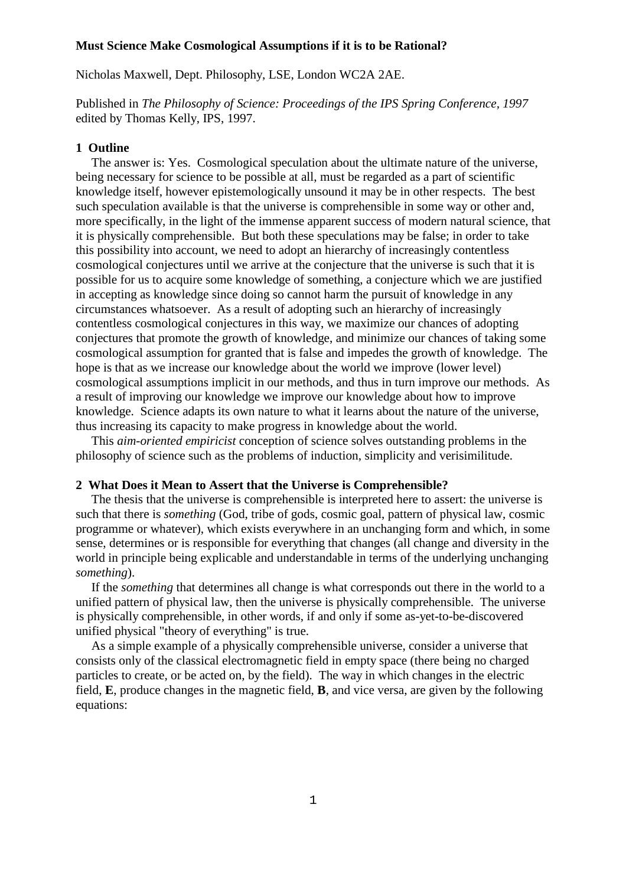## **Must Science Make Cosmological Assumptions if it is to be Rational?**

Nicholas Maxwell, Dept. Philosophy, LSE, London WC2A 2AE.

Published in *The Philosophy of Science: Proceedings of the IPS Spring Conference, 1997* edited by Thomas Kelly, IPS, 1997.

## **1 Outline**

The answer is: Yes. Cosmological speculation about the ultimate nature of the universe, being necessary for science to be possible at all, must be regarded as a part of scientific knowledge itself, however epistemologically unsound it may be in other respects. The best such speculation available is that the universe is comprehensible in some way or other and, more specifically, in the light of the immense apparent success of modern natural science, that it is physically comprehensible. But both these speculations may be false; in order to take this possibility into account, we need to adopt an hierarchy of increasingly contentless cosmological conjectures until we arrive at the conjecture that the universe is such that it is possible for us to acquire some knowledge of something, a conjecture which we are justified in accepting as knowledge since doing so cannot harm the pursuit of knowledge in any circumstances whatsoever. As a result of adopting such an hierarchy of increasingly contentless cosmological conjectures in this way, we maximize our chances of adopting conjectures that promote the growth of knowledge, and minimize our chances of taking some cosmological assumption for granted that is false and impedes the growth of knowledge. The hope is that as we increase our knowledge about the world we improve (lower level) cosmological assumptions implicit in our methods, and thus in turn improve our methods. As a result of improving our knowledge we improve our knowledge about how to improve knowledge. Science adapts its own nature to what it learns about the nature of the universe, thus increasing its capacity to make progress in knowledge about the world.

This *aim-oriented empiricist* conception of science solves outstanding problems in the philosophy of science such as the problems of induction, simplicity and verisimilitude.

### **2 What Does it Mean to Assert that the Universe is Comprehensible?**

The thesis that the universe is comprehensible is interpreted here to assert: the universe is such that there is *something* (God, tribe of gods, cosmic goal, pattern of physical law, cosmic programme or whatever), which exists everywhere in an unchanging form and which, in some sense, determines or is responsible for everything that changes (all change and diversity in the world in principle being explicable and understandable in terms of the underlying unchanging *something*).

If the *something* that determines all change is what corresponds out there in the world to a unified pattern of physical law, then the universe is physically comprehensible. The universe is physically comprehensible, in other words, if and only if some as-yet-to-be-discovered unified physical "theory of everything" is true.

As a simple example of a physically comprehensible universe, consider a universe that consists only of the classical electromagnetic field in empty space (there being no charged particles to create, or be acted on, by the field). The way in which changes in the electric field, **E**, produce changes in the magnetic field, **B**, and vice versa, are given by the following equations: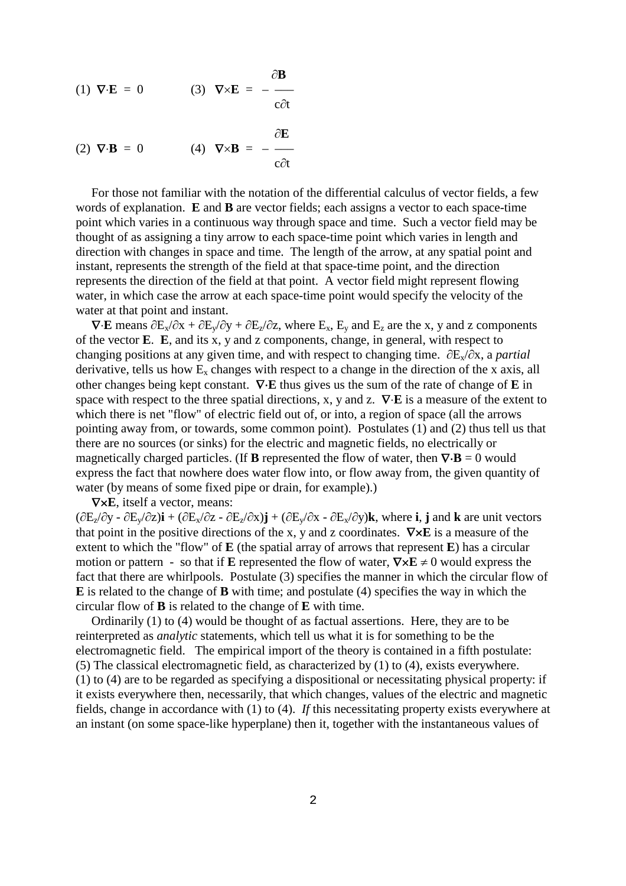$\partial$ **B** (1)  $\nabla \cdot \mathbf{E} = 0$  (3)  $\nabla \times \mathbf{E} =$  $c\partial t$ 

(2) 
$$
\nabla \cdot \mathbf{B} = 0
$$
 (4)  $\nabla \times \mathbf{B} = -\frac{\partial \mathbf{E}}{\partial t}$ 

For those not familiar with the notation of the differential calculus of vector fields, a few words of explanation. **E** and **B** are vector fields; each assigns a vector to each space-time point which varies in a continuous way through space and time. Such a vector field may be thought of as assigning a tiny arrow to each space-time point which varies in length and direction with changes in space and time. The length of the arrow, at any spatial point and instant, represents the strength of the field at that space-time point, and the direction represents the direction of the field at that point. A vector field might represent flowing water, in which case the arrow at each space-time point would specify the velocity of the water at that point and instant.

 $\nabla \cdot \mathbf{E}$  means  $\partial E_x/\partial x + \partial E_y/\partial y + \partial E_z/\partial z$ , where  $E_x$ ,  $E_y$  and  $E_z$  are the x, y and z components of the vector **E**. **E**, and its x, y and z components, change, in general, with respect to changing positions at any given time, and with respect to changing time.  $\partial E_x/\partial x$ , a *partial* derivative, tells us how  $E_x$  changes with respect to a change in the direction of the x axis, all other changes being kept constant. **E** thus gives us the sum of the rate of change of **E** in space with respect to the three spatial directions, x, y and z.  $\nabla \cdot \mathbf{E}$  is a measure of the extent to which there is net "flow" of electric field out of, or into, a region of space (all the arrows pointing away from, or towards, some common point). Postulates (1) and (2) thus tell us that there are no sources (or sinks) for the electric and magnetic fields, no electrically or magnetically charged particles. (If **B** represented the flow of water, then  $\nabla \cdot \mathbf{B} = 0$  would express the fact that nowhere does water flow into, or flow away from, the given quantity of water (by means of some fixed pipe or drain, for example).)

**E**, itself a vector, means:

 $(\partial E_z/\partial y - \partial E_y/\partial z)\mathbf{i} + (\partial E_x/\partial z - \partial E_z/\partial x)\mathbf{j} + (\partial E_y/\partial x - \partial E_x/\partial y)\mathbf{k}$ , where **i**, **j** and **k** are unit vectors that point in the positive directions of the x, y and z coordinates.  $\nabla \times \mathbf{E}$  is a measure of the extent to which the "flow" of **E** (the spatial array of arrows that represent **E**) has a circular motion or pattern - so that if **E** represented the flow of water,  $\nabla \times \mathbf{E} \neq 0$  would express the fact that there are whirlpools. Postulate (3) specifies the manner in which the circular flow of **E** is related to the change of **B** with time; and postulate (4) specifies the way in which the circular flow of **B** is related to the change of **E** with time.

Ordinarily (1) to (4) would be thought of as factual assertions. Here, they are to be reinterpreted as *analytic* statements, which tell us what it is for something to be the electromagnetic field. The empirical import of the theory is contained in a fifth postulate: (5) The classical electromagnetic field, as characterized by (1) to (4), exists everywhere. (1) to (4) are to be regarded as specifying a dispositional or necessitating physical property: if it exists everywhere then, necessarily, that which changes, values of the electric and magnetic fields, change in accordance with (1) to (4). *If* this necessitating property exists everywhere at an instant (on some space-like hyperplane) then it, together with the instantaneous values of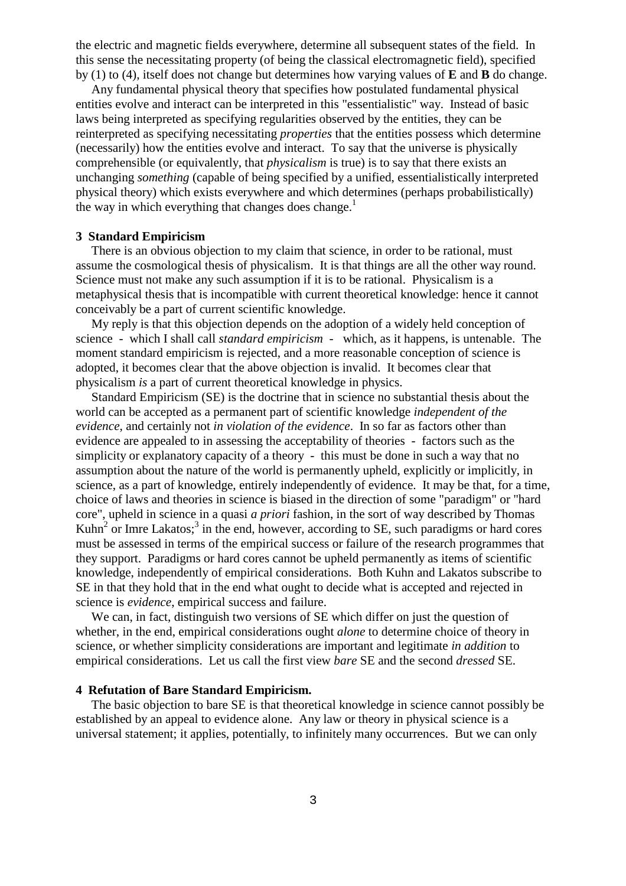the electric and magnetic fields everywhere, determine all subsequent states of the field. In this sense the necessitating property (of being the classical electromagnetic field), specified by (1) to (4), itself does not change but determines how varying values of **E** and **B** do change.

Any fundamental physical theory that specifies how postulated fundamental physical entities evolve and interact can be interpreted in this "essentialistic" way. Instead of basic laws being interpreted as specifying regularities observed by the entities, they can be reinterpreted as specifying necessitating *properties* that the entities possess which determine (necessarily) how the entities evolve and interact. To say that the universe is physically comprehensible (or equivalently, that *physicalism* is true) is to say that there exists an unchanging *something* (capable of being specified by a unified, essentialistically interpreted physical theory) which exists everywhere and which determines (perhaps probabilistically) the way in which everything that changes does change.<sup>1</sup>

## **3 Standard Empiricism**

There is an obvious objection to my claim that science, in order to be rational, must assume the cosmological thesis of physicalism. It is that things are all the other way round. Science must not make any such assumption if it is to be rational. Physicalism is a metaphysical thesis that is incompatible with current theoretical knowledge: hence it cannot conceivably be a part of current scientific knowledge.

My reply is that this objection depends on the adoption of a widely held conception of science - which I shall call *standard empiricism* - which, as it happens, is untenable. The moment standard empiricism is rejected, and a more reasonable conception of science is adopted, it becomes clear that the above objection is invalid. It becomes clear that physicalism *is* a part of current theoretical knowledge in physics.

Standard Empiricism (SE) is the doctrine that in science no substantial thesis about the world can be accepted as a permanent part of scientific knowledge *independent of the evidence*, and certainly not *in violation of the evidence*. In so far as factors other than evidence are appealed to in assessing the acceptability of theories - factors such as the simplicity or explanatory capacity of a theory - this must be done in such a way that no assumption about the nature of the world is permanently upheld, explicitly or implicitly, in science, as a part of knowledge, entirely independently of evidence. It may be that, for a time, choice of laws and theories in science is biased in the direction of some "paradigm" or "hard core", upheld in science in a quasi *a priori* fashion, in the sort of way described by Thomas Kuhn<sup>2</sup> or Imre Lakatos;<sup>3</sup> in the end, however, according to SE, such paradigms or hard cores must be assessed in terms of the empirical success or failure of the research programmes that they support. Paradigms or hard cores cannot be upheld permanently as items of scientific knowledge, independently of empirical considerations. Both Kuhn and Lakatos subscribe to SE in that they hold that in the end what ought to decide what is accepted and rejected in science is *evidence*, empirical success and failure.

We can, in fact, distinguish two versions of SE which differ on just the question of whether, in the end, empirical considerations ought *alone* to determine choice of theory in science, or whether simplicity considerations are important and legitimate *in addition* to empirical considerations. Let us call the first view *bare* SE and the second *dressed* SE.

#### **4 Refutation of Bare Standard Empiricism.**

The basic objection to bare SE is that theoretical knowledge in science cannot possibly be established by an appeal to evidence alone. Any law or theory in physical science is a universal statement; it applies, potentially, to infinitely many occurrences. But we can only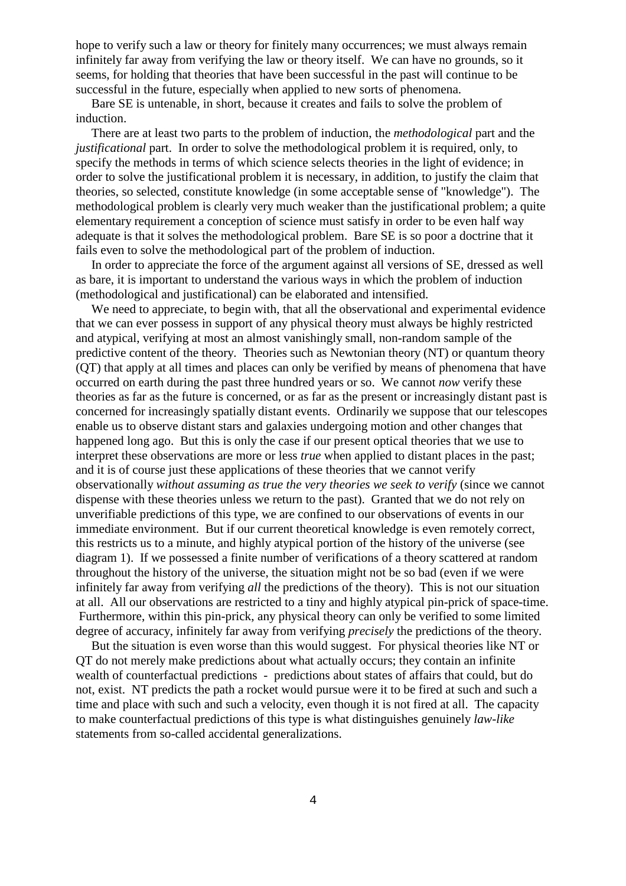hope to verify such a law or theory for finitely many occurrences; we must always remain infinitely far away from verifying the law or theory itself. We can have no grounds, so it seems, for holding that theories that have been successful in the past will continue to be successful in the future, especially when applied to new sorts of phenomena.

Bare SE is untenable, in short, because it creates and fails to solve the problem of induction.

There are at least two parts to the problem of induction, the *methodological* part and the *justificational* part. In order to solve the methodological problem it is required, only, to specify the methods in terms of which science selects theories in the light of evidence; in order to solve the justificational problem it is necessary, in addition, to justify the claim that theories, so selected, constitute knowledge (in some acceptable sense of "knowledge"). The methodological problem is clearly very much weaker than the justificational problem; a quite elementary requirement a conception of science must satisfy in order to be even half way adequate is that it solves the methodological problem. Bare SE is so poor a doctrine that it fails even to solve the methodological part of the problem of induction.

In order to appreciate the force of the argument against all versions of SE, dressed as well as bare, it is important to understand the various ways in which the problem of induction (methodological and justificational) can be elaborated and intensified.

We need to appreciate, to begin with, that all the observational and experimental evidence that we can ever possess in support of any physical theory must always be highly restricted and atypical, verifying at most an almost vanishingly small, non-random sample of the predictive content of the theory. Theories such as Newtonian theory (NT) or quantum theory (QT) that apply at all times and places can only be verified by means of phenomena that have occurred on earth during the past three hundred years or so. We cannot *now* verify these theories as far as the future is concerned, or as far as the present or increasingly distant past is concerned for increasingly spatially distant events. Ordinarily we suppose that our telescopes enable us to observe distant stars and galaxies undergoing motion and other changes that happened long ago. But this is only the case if our present optical theories that we use to interpret these observations are more or less *true* when applied to distant places in the past; and it is of course just these applications of these theories that we cannot verify observationally *without assuming as true the very theories we seek to verify* (since we cannot dispense with these theories unless we return to the past). Granted that we do not rely on unverifiable predictions of this type, we are confined to our observations of events in our immediate environment. But if our current theoretical knowledge is even remotely correct, this restricts us to a minute, and highly atypical portion of the history of the universe (see diagram 1). If we possessed a finite number of verifications of a theory scattered at random throughout the history of the universe, the situation might not be so bad (even if we were infinitely far away from verifying *all* the predictions of the theory). This is not our situation at all. All our observations are restricted to a tiny and highly atypical pin-prick of space-time. Furthermore, within this pin-prick, any physical theory can only be verified to some limited degree of accuracy, infinitely far away from verifying *precisely* the predictions of the theory.

But the situation is even worse than this would suggest. For physical theories like NT or QT do not merely make predictions about what actually occurs; they contain an infinite wealth of counterfactual predictions - predictions about states of affairs that could, but do not, exist. NT predicts the path a rocket would pursue were it to be fired at such and such a time and place with such and such a velocity, even though it is not fired at all. The capacity to make counterfactual predictions of this type is what distinguishes genuinely *law-like* statements from so-called accidental generalizations.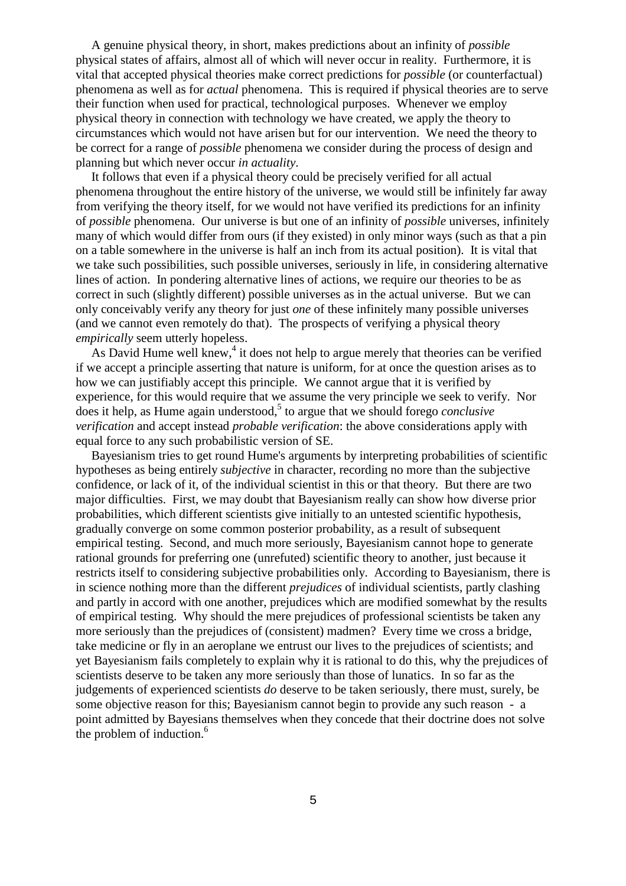A genuine physical theory, in short, makes predictions about an infinity of *possible* physical states of affairs, almost all of which will never occur in reality. Furthermore, it is vital that accepted physical theories make correct predictions for *possible* (or counterfactual) phenomena as well as for *actual* phenomena. This is required if physical theories are to serve their function when used for practical, technological purposes. Whenever we employ physical theory in connection with technology we have created, we apply the theory to circumstances which would not have arisen but for our intervention. We need the theory to be correct for a range of *possible* phenomena we consider during the process of design and planning but which never occur *in actuality*.

It follows that even if a physical theory could be precisely verified for all actual phenomena throughout the entire history of the universe, we would still be infinitely far away from verifying the theory itself, for we would not have verified its predictions for an infinity of *possible* phenomena. Our universe is but one of an infinity of *possible* universes, infinitely many of which would differ from ours (if they existed) in only minor ways (such as that a pin on a table somewhere in the universe is half an inch from its actual position). It is vital that we take such possibilities, such possible universes, seriously in life, in considering alternative lines of action. In pondering alternative lines of actions, we require our theories to be as correct in such (slightly different) possible universes as in the actual universe. But we can only conceivably verify any theory for just *one* of these infinitely many possible universes (and we cannot even remotely do that). The prospects of verifying a physical theory *empirically* seem utterly hopeless.

As David Hume well knew,<sup>4</sup> it does not help to argue merely that theories can be verified if we accept a principle asserting that nature is uniform, for at once the question arises as to how we can justifiably accept this principle. We cannot argue that it is verified by experience, for this would require that we assume the very principle we seek to verify. Nor does it help, as Hume again understood,<sup>5</sup> to argue that we should forego *conclusive verification* and accept instead *probable verification*: the above considerations apply with equal force to any such probabilistic version of SE.

Bayesianism tries to get round Hume's arguments by interpreting probabilities of scientific hypotheses as being entirely *subjective* in character, recording no more than the subjective confidence, or lack of it, of the individual scientist in this or that theory. But there are two major difficulties. First, we may doubt that Bayesianism really can show how diverse prior probabilities, which different scientists give initially to an untested scientific hypothesis, gradually converge on some common posterior probability, as a result of subsequent empirical testing. Second, and much more seriously, Bayesianism cannot hope to generate rational grounds for preferring one (unrefuted) scientific theory to another, just because it restricts itself to considering subjective probabilities only. According to Bayesianism, there is in science nothing more than the different *prejudices* of individual scientists, partly clashing and partly in accord with one another, prejudices which are modified somewhat by the results of empirical testing. Why should the mere prejudices of professional scientists be taken any more seriously than the prejudices of (consistent) madmen? Every time we cross a bridge, take medicine or fly in an aeroplane we entrust our lives to the prejudices of scientists; and yet Bayesianism fails completely to explain why it is rational to do this, why the prejudices of scientists deserve to be taken any more seriously than those of lunatics. In so far as the judgements of experienced scientists *do* deserve to be taken seriously, there must, surely, be some objective reason for this; Bayesianism cannot begin to provide any such reason - a point admitted by Bayesians themselves when they concede that their doctrine does not solve the problem of induction. $<sup>6</sup>$ </sup>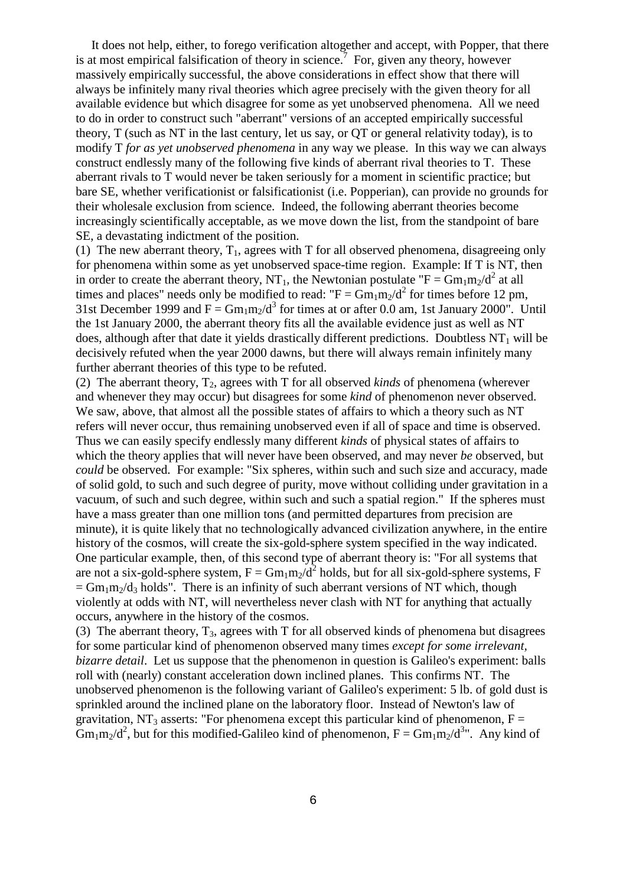It does not help, either, to forego verification altogether and accept, with Popper, that there is at most empirical falsification of theory in science.<sup>7</sup> For, given any theory, however massively empirically successful, the above considerations in effect show that there will always be infinitely many rival theories which agree precisely with the given theory for all available evidence but which disagree for some as yet unobserved phenomena. All we need to do in order to construct such "aberrant" versions of an accepted empirically successful theory, T (such as NT in the last century, let us say, or QT or general relativity today), is to modify T *for as yet unobserved phenomena* in any way we please. In this way we can always construct endlessly many of the following five kinds of aberrant rival theories to T. These aberrant rivals to T would never be taken seriously for a moment in scientific practice; but bare SE, whether verificationist or falsificationist (i.e. Popperian), can provide no grounds for their wholesale exclusion from science. Indeed, the following aberrant theories become increasingly scientifically acceptable, as we move down the list, from the standpoint of bare SE, a devastating indictment of the position.

(1) The new aberrant theory,  $T_1$ , agrees with T for all observed phenomena, disagreeing only for phenomena within some as yet unobserved space-time region. Example: If T is NT, then in order to create the aberrant theory, NT<sub>1</sub>, the Newtonian postulate "F =  $Gm_1m_2/d^2$  at all times and places" needs only be modified to read: " $F = Gm_1m_2/d^2$  for times before 12 pm, 31st December 1999 and  $F = Gm_1m_2/d^3$  for times at or after 0.0 am, 1st January 2000". Until the 1st January 2000, the aberrant theory fits all the available evidence just as well as NT does, although after that date it yields drastically different predictions. Doubtless  $NT_1$  will be decisively refuted when the year 2000 dawns, but there will always remain infinitely many further aberrant theories of this type to be refuted.

(2) The aberrant theory,  $T_2$ , agrees with T for all observed *kinds* of phenomena (wherever and whenever they may occur) but disagrees for some *kind* of phenomenon never observed. We saw, above, that almost all the possible states of affairs to which a theory such as NT refers will never occur, thus remaining unobserved even if all of space and time is observed. Thus we can easily specify endlessly many different *kinds* of physical states of affairs to which the theory applies that will never have been observed, and may never *be* observed, but *could* be observed. For example: "Six spheres, within such and such size and accuracy, made of solid gold, to such and such degree of purity, move without colliding under gravitation in a vacuum, of such and such degree, within such and such a spatial region." If the spheres must have a mass greater than one million tons (and permitted departures from precision are minute), it is quite likely that no technologically advanced civilization anywhere, in the entire history of the cosmos, will create the six-gold-sphere system specified in the way indicated. One particular example, then, of this second type of aberrant theory is: "For all systems that are not a six-gold-sphere system,  $F = Gm_1m_2/d^2$  holds, but for all six-gold-sphere systems, F  $=$  Gm<sub>1</sub>m<sub>2</sub>/d<sub>3</sub> holds". There is an infinity of such aberrant versions of NT which, though violently at odds with NT, will nevertheless never clash with NT for anything that actually occurs, anywhere in the history of the cosmos.

(3) The aberrant theory,  $T_3$ , agrees with T for all observed kinds of phenomena but disagrees for some particular kind of phenomenon observed many times *except for some irrelevant, bizarre detail*. Let us suppose that the phenomenon in question is Galileo's experiment: balls roll with (nearly) constant acceleration down inclined planes. This confirms NT. The unobserved phenomenon is the following variant of Galileo's experiment: 5 lb. of gold dust is sprinkled around the inclined plane on the laboratory floor. Instead of Newton's law of gravitation, NT<sub>3</sub> asserts: "For phenomena except this particular kind of phenomenon,  $F =$  $\Gamma$ Gm<sub>1</sub>m<sub>2</sub>/d<sup>2</sup>, but for this modified-Galileo kind of phenomenon,  $F = \Gamma \frac{Gm_1m_2}{d^3}$ . Any kind of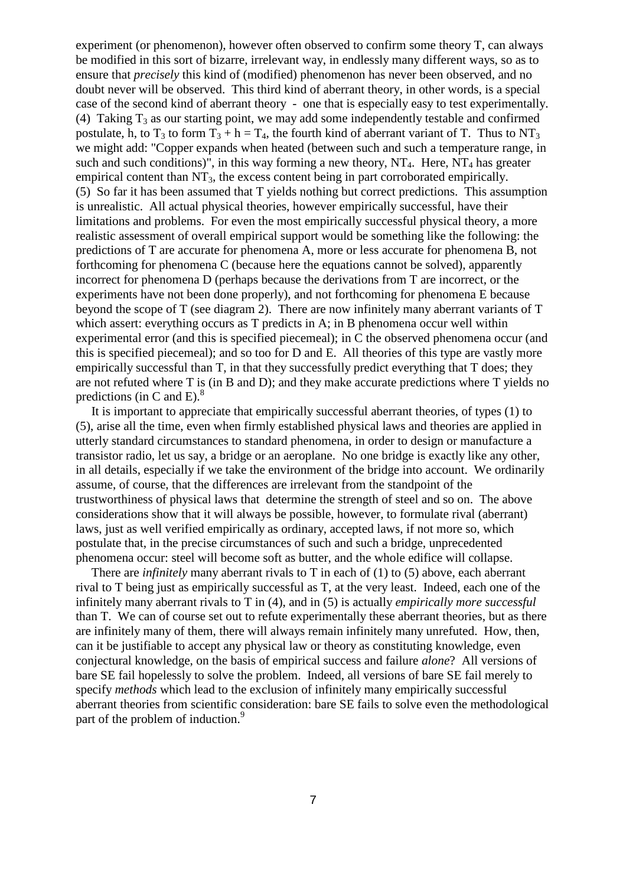experiment (or phenomenon), however often observed to confirm some theory T, can always be modified in this sort of bizarre, irrelevant way, in endlessly many different ways, so as to ensure that *precisely* this kind of (modified) phenomenon has never been observed, and no doubt never will be observed. This third kind of aberrant theory, in other words, is a special case of the second kind of aberrant theory - one that is especially easy to test experimentally. (4) Taking  $T_3$  as our starting point, we may add some independently testable and confirmed postulate, h, to  $T_3$  to form  $T_3 + h = T_4$ , the fourth kind of aberrant variant of T. Thus to NT<sub>3</sub> we might add: "Copper expands when heated (between such and such a temperature range, in such and such conditions)", in this way forming a new theory,  $NT_4$ . Here,  $NT_4$  has greater empirical content than  $NT_3$ , the excess content being in part corroborated empirically. (5) So far it has been assumed that T yields nothing but correct predictions. This assumption is unrealistic. All actual physical theories, however empirically successful, have their limitations and problems. For even the most empirically successful physical theory, a more realistic assessment of overall empirical support would be something like the following: the predictions of T are accurate for phenomena A, more or less accurate for phenomena B, not forthcoming for phenomena C (because here the equations cannot be solved), apparently incorrect for phenomena D (perhaps because the derivations from T are incorrect, or the experiments have not been done properly), and not forthcoming for phenomena E because beyond the scope of T (see diagram 2). There are now infinitely many aberrant variants of T which assert: everything occurs as T predicts in A; in B phenomena occur well within experimental error (and this is specified piecemeal); in C the observed phenomena occur (and this is specified piecemeal); and so too for D and E. All theories of this type are vastly more empirically successful than T, in that they successfully predict everything that T does; they are not refuted where T is (in B and D); and they make accurate predictions where T yields no predictions (in C and E). $^{8}$ 

It is important to appreciate that empirically successful aberrant theories, of types (1) to (5), arise all the time, even when firmly established physical laws and theories are applied in utterly standard circumstances to standard phenomena, in order to design or manufacture a transistor radio, let us say, a bridge or an aeroplane. No one bridge is exactly like any other, in all details, especially if we take the environment of the bridge into account. We ordinarily assume, of course, that the differences are irrelevant from the standpoint of the trustworthiness of physical laws that determine the strength of steel and so on. The above considerations show that it will always be possible, however, to formulate rival (aberrant) laws, just as well verified empirically as ordinary, accepted laws, if not more so, which postulate that, in the precise circumstances of such and such a bridge, unprecedented phenomena occur: steel will become soft as butter, and the whole edifice will collapse.

There are *infinitely* many aberrant rivals to T in each of (1) to (5) above, each aberrant rival to T being just as empirically successful as T, at the very least. Indeed, each one of the infinitely many aberrant rivals to T in (4), and in (5) is actually *empirically more successful* than T. We can of course set out to refute experimentally these aberrant theories, but as there are infinitely many of them, there will always remain infinitely many unrefuted. How, then, can it be justifiable to accept any physical law or theory as constituting knowledge, even conjectural knowledge, on the basis of empirical success and failure *alone*? All versions of bare SE fail hopelessly to solve the problem. Indeed, all versions of bare SE fail merely to specify *methods* which lead to the exclusion of infinitely many empirically successful aberrant theories from scientific consideration: bare SE fails to solve even the methodological part of the problem of induction.<sup>9</sup>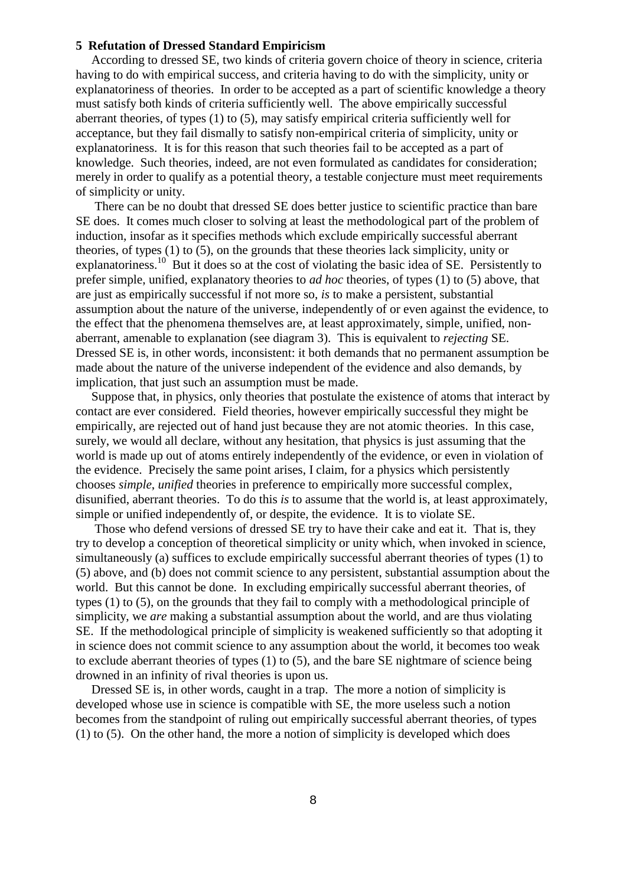## **5 Refutation of Dressed Standard Empiricism**

According to dressed SE, two kinds of criteria govern choice of theory in science, criteria having to do with empirical success, and criteria having to do with the simplicity, unity or explanatoriness of theories. In order to be accepted as a part of scientific knowledge a theory must satisfy both kinds of criteria sufficiently well. The above empirically successful aberrant theories, of types (1) to (5), may satisfy empirical criteria sufficiently well for acceptance, but they fail dismally to satisfy non-empirical criteria of simplicity, unity or explanatoriness. It is for this reason that such theories fail to be accepted as a part of knowledge. Such theories, indeed, are not even formulated as candidates for consideration; merely in order to qualify as a potential theory, a testable conjecture must meet requirements of simplicity or unity.

There can be no doubt that dressed SE does better justice to scientific practice than bare SE does. It comes much closer to solving at least the methodological part of the problem of induction, insofar as it specifies methods which exclude empirically successful aberrant theories, of types (1) to (5), on the grounds that these theories lack simplicity, unity or explanatoriness.<sup>10</sup> But it does so at the cost of violating the basic idea of SE. Persistently to prefer simple, unified, explanatory theories to *ad hoc* theories, of types (1) to (5) above, that are just as empirically successful if not more so, *is* to make a persistent, substantial assumption about the nature of the universe, independently of or even against the evidence, to the effect that the phenomena themselves are, at least approximately, simple, unified, nonaberrant, amenable to explanation (see diagram 3). This is equivalent to *rejecting* SE. Dressed SE is, in other words, inconsistent: it both demands that no permanent assumption be made about the nature of the universe independent of the evidence and also demands, by implication, that just such an assumption must be made.

Suppose that, in physics, only theories that postulate the existence of atoms that interact by contact are ever considered. Field theories, however empirically successful they might be empirically, are rejected out of hand just because they are not atomic theories. In this case, surely, we would all declare, without any hesitation, that physics is just assuming that the world is made up out of atoms entirely independently of the evidence, or even in violation of the evidence. Precisely the same point arises, I claim, for a physics which persistently chooses *simple*, *unified* theories in preference to empirically more successful complex, disunified, aberrant theories. To do this *is* to assume that the world is, at least approximately, simple or unified independently of, or despite, the evidence. It is to violate SE.

Those who defend versions of dressed SE try to have their cake and eat it. That is, they try to develop a conception of theoretical simplicity or unity which, when invoked in science, simultaneously (a) suffices to exclude empirically successful aberrant theories of types (1) to (5) above, and (b) does not commit science to any persistent, substantial assumption about the world. But this cannot be done. In excluding empirically successful aberrant theories, of types (1) to (5), on the grounds that they fail to comply with a methodological principle of simplicity, we *are* making a substantial assumption about the world, and are thus violating SE. If the methodological principle of simplicity is weakened sufficiently so that adopting it in science does not commit science to any assumption about the world, it becomes too weak to exclude aberrant theories of types (1) to (5), and the bare SE nightmare of science being drowned in an infinity of rival theories is upon us.

Dressed SE is, in other words, caught in a trap. The more a notion of simplicity is developed whose use in science is compatible with SE, the more useless such a notion becomes from the standpoint of ruling out empirically successful aberrant theories, of types (1) to (5). On the other hand, the more a notion of simplicity is developed which does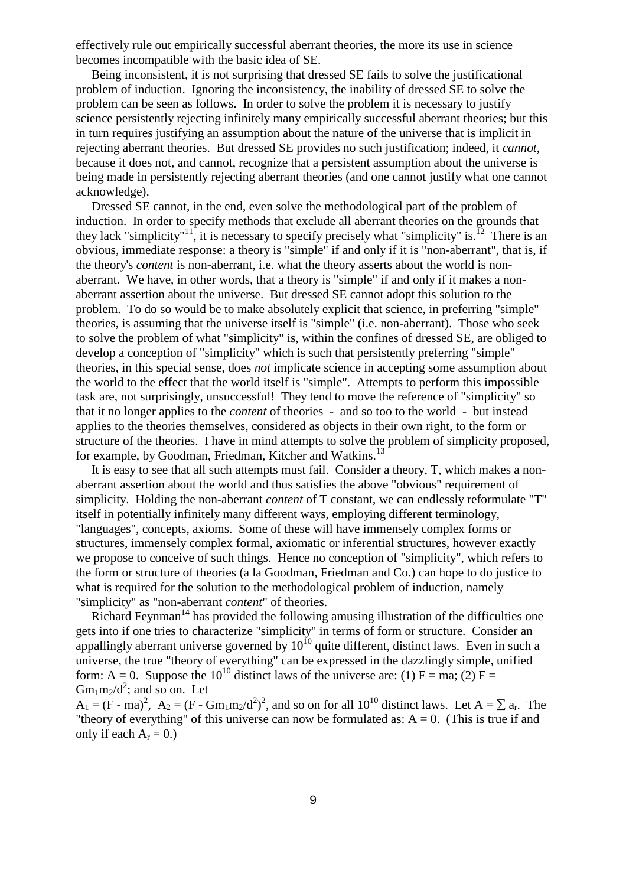effectively rule out empirically successful aberrant theories, the more its use in science becomes incompatible with the basic idea of SE.

Being inconsistent, it is not surprising that dressed SE fails to solve the justificational problem of induction. Ignoring the inconsistency, the inability of dressed SE to solve the problem can be seen as follows. In order to solve the problem it is necessary to justify science persistently rejecting infinitely many empirically successful aberrant theories; but this in turn requires justifying an assumption about the nature of the universe that is implicit in rejecting aberrant theories. But dressed SE provides no such justification; indeed, it *cannot*, because it does not, and cannot, recognize that a persistent assumption about the universe is being made in persistently rejecting aberrant theories (and one cannot justify what one cannot acknowledge).

Dressed SE cannot, in the end, even solve the methodological part of the problem of induction. In order to specify methods that exclude all aberrant theories on the grounds that they lack "simplicity"<sup>11</sup>, it is necessary to specify precisely what "simplicity" is.<sup>12</sup> There is an obvious, immediate response: a theory is "simple" if and only if it is "non-aberrant", that is, if the theory's *content* is non-aberrant, i.e. what the theory asserts about the world is nonaberrant. We have, in other words, that a theory is "simple" if and only if it makes a nonaberrant assertion about the universe. But dressed SE cannot adopt this solution to the problem. To do so would be to make absolutely explicit that science, in preferring "simple" theories, is assuming that the universe itself is "simple" (i.e. non-aberrant). Those who seek to solve the problem of what "simplicity" is, within the confines of dressed SE, are obliged to develop a conception of "simplicity" which is such that persistently preferring "simple" theories, in this special sense, does *not* implicate science in accepting some assumption about the world to the effect that the world itself is "simple". Attempts to perform this impossible task are, not surprisingly, unsuccessful! They tend to move the reference of "simplicity" so that it no longer applies to the *content* of theories - and so too to the world - but instead applies to the theories themselves, considered as objects in their own right, to the form or structure of the theories. I have in mind attempts to solve the problem of simplicity proposed, for example, by Goodman, Friedman, Kitcher and Watkins.<sup>13</sup>

It is easy to see that all such attempts must fail. Consider a theory, T, which makes a nonaberrant assertion about the world and thus satisfies the above "obvious" requirement of simplicity. Holding the non-aberrant *content* of T constant, we can endlessly reformulate "T" itself in potentially infinitely many different ways, employing different terminology, "languages", concepts, axioms. Some of these will have immensely complex forms or structures, immensely complex formal, axiomatic or inferential structures, however exactly we propose to conceive of such things. Hence no conception of "simplicity", which refers to the form or structure of theories (a la Goodman, Friedman and Co.) can hope to do justice to what is required for the solution to the methodological problem of induction, namely "simplicity" as "non-aberrant *content*" of theories.

Richard Feynman<sup>14</sup> has provided the following amusing illustration of the difficulties one gets into if one tries to characterize "simplicity" in terms of form or structure. Consider an appallingly aberrant universe governed by  $10^{10}$  quite different, distinct laws. Even in such a universe, the true "theory of everything" can be expressed in the dazzlingly simple, unified form: A = 0. Suppose the 10<sup>10</sup> distinct laws of the universe are: (1) F = ma; (2) F =  $Gm_1m_2/d^2$ ; and so on. Let

 $A_1 = (F - ma)^2$ ,  $A_2 = (F - Gm_1m_2/d^2)^2$ , and so on for all  $10^{10}$  distinct laws. Let  $A = \sum a_r$ . The "theory of everything" of this universe can now be formulated as:  $A = 0$ . (This is true if and only if each  $A_r = 0.$ )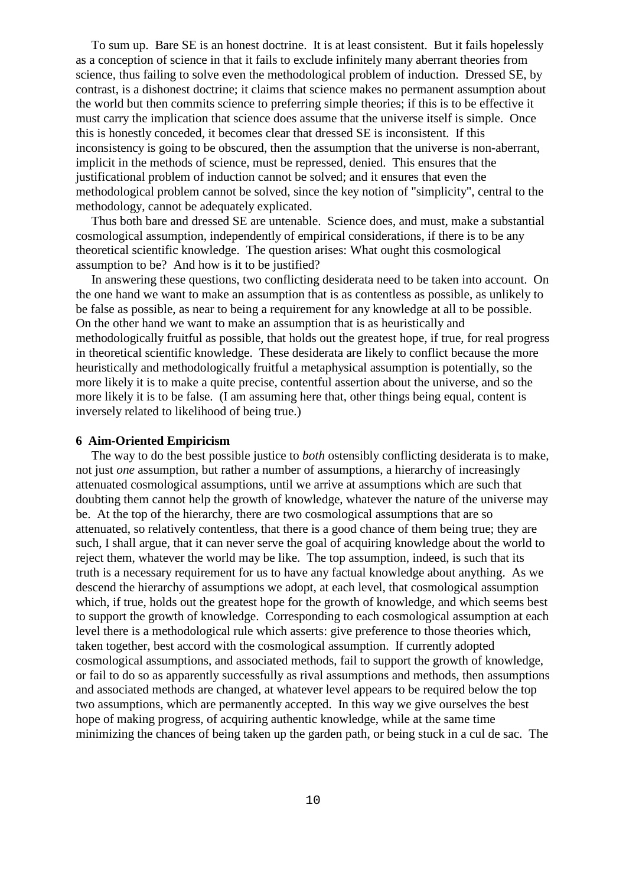To sum up. Bare SE is an honest doctrine. It is at least consistent. But it fails hopelessly as a conception of science in that it fails to exclude infinitely many aberrant theories from science, thus failing to solve even the methodological problem of induction. Dressed SE, by contrast, is a dishonest doctrine; it claims that science makes no permanent assumption about the world but then commits science to preferring simple theories; if this is to be effective it must carry the implication that science does assume that the universe itself is simple. Once this is honestly conceded, it becomes clear that dressed SE is inconsistent. If this inconsistency is going to be obscured, then the assumption that the universe is non-aberrant, implicit in the methods of science, must be repressed, denied. This ensures that the justificational problem of induction cannot be solved; and it ensures that even the methodological problem cannot be solved, since the key notion of "simplicity", central to the methodology, cannot be adequately explicated.

Thus both bare and dressed SE are untenable. Science does, and must, make a substantial cosmological assumption, independently of empirical considerations, if there is to be any theoretical scientific knowledge. The question arises: What ought this cosmological assumption to be? And how is it to be justified?

In answering these questions, two conflicting desiderata need to be taken into account. On the one hand we want to make an assumption that is as contentless as possible, as unlikely to be false as possible, as near to being a requirement for any knowledge at all to be possible. On the other hand we want to make an assumption that is as heuristically and methodologically fruitful as possible, that holds out the greatest hope, if true, for real progress in theoretical scientific knowledge. These desiderata are likely to conflict because the more heuristically and methodologically fruitful a metaphysical assumption is potentially, so the more likely it is to make a quite precise, contentful assertion about the universe, and so the more likely it is to be false. (I am assuming here that, other things being equal, content is inversely related to likelihood of being true.)

#### **6 Aim-Oriented Empiricism**

The way to do the best possible justice to *both* ostensibly conflicting desiderata is to make, not just *one* assumption, but rather a number of assumptions, a hierarchy of increasingly attenuated cosmological assumptions, until we arrive at assumptions which are such that doubting them cannot help the growth of knowledge, whatever the nature of the universe may be. At the top of the hierarchy, there are two cosmological assumptions that are so attenuated, so relatively contentless, that there is a good chance of them being true; they are such, I shall argue, that it can never serve the goal of acquiring knowledge about the world to reject them, whatever the world may be like. The top assumption, indeed, is such that its truth is a necessary requirement for us to have any factual knowledge about anything. As we descend the hierarchy of assumptions we adopt, at each level, that cosmological assumption which, if true, holds out the greatest hope for the growth of knowledge, and which seems best to support the growth of knowledge. Corresponding to each cosmological assumption at each level there is a methodological rule which asserts: give preference to those theories which, taken together, best accord with the cosmological assumption. If currently adopted cosmological assumptions, and associated methods, fail to support the growth of knowledge, or fail to do so as apparently successfully as rival assumptions and methods, then assumptions and associated methods are changed, at whatever level appears to be required below the top two assumptions, which are permanently accepted. In this way we give ourselves the best hope of making progress, of acquiring authentic knowledge, while at the same time minimizing the chances of being taken up the garden path, or being stuck in a cul de sac. The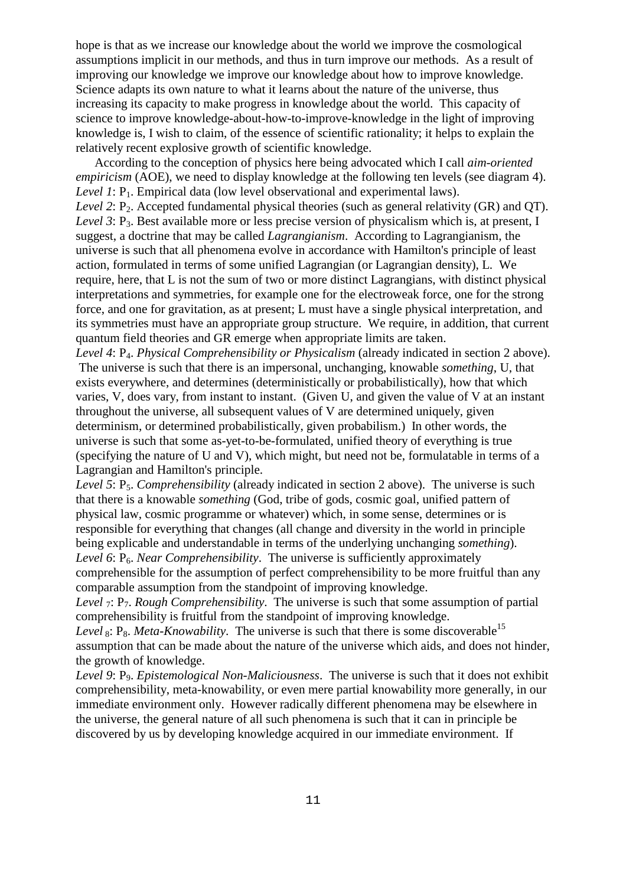hope is that as we increase our knowledge about the world we improve the cosmological assumptions implicit in our methods, and thus in turn improve our methods. As a result of improving our knowledge we improve our knowledge about how to improve knowledge. Science adapts its own nature to what it learns about the nature of the universe, thus increasing its capacity to make progress in knowledge about the world. This capacity of science to improve knowledge-about-how-to-improve-knowledge in the light of improving knowledge is, I wish to claim, of the essence of scientific rationality; it helps to explain the relatively recent explosive growth of scientific knowledge.

According to the conception of physics here being advocated which I call *aim-oriented empiricism* (AOE), we need to display knowledge at the following ten levels (see diagram 4). *Level 1*: P<sub>1</sub>. Empirical data (low level observational and experimental laws). *Level 2*: P<sub>2</sub>. Accepted fundamental physical theories (such as general relativity (GR) and OT). *Level 3*: P<sub>3</sub>. Best available more or less precise version of physicalism which is, at present, I suggest, a doctrine that may be called *Lagrangianism*. According to Lagrangianism, the universe is such that all phenomena evolve in accordance with Hamilton's principle of least action, formulated in terms of some unified Lagrangian (or Lagrangian density), L. We require, here, that L is not the sum of two or more distinct Lagrangians, with distinct physical interpretations and symmetries, for example one for the electroweak force, one for the strong force, and one for gravitation, as at present; L must have a single physical interpretation, and its symmetries must have an appropriate group structure. We require, in addition, that current quantum field theories and GR emerge when appropriate limits are taken.

Level 4: P<sub>4</sub>. *Physical Comprehensibility or Physicalism* (already indicated in section 2 above). The universe is such that there is an impersonal, unchanging, knowable *something*, U, that exists everywhere, and determines (deterministically or probabilistically), how that which varies, V, does vary, from instant to instant. (Given U, and given the value of V at an instant throughout the universe, all subsequent values of V are determined uniquely, given determinism, or determined probabilistically, given probabilism.) In other words, the universe is such that some as-yet-to-be-formulated, unified theory of everything is true (specifying the nature of U and V), which might, but need not be, formulatable in terms of a Lagrangian and Hamilton's principle.

*Level 5*:  $P_5$ . *Comprehensibility* (already indicated in section 2 above). The universe is such that there is a knowable *something* (God, tribe of gods, cosmic goal, unified pattern of physical law, cosmic programme or whatever) which, in some sense, determines or is responsible for everything that changes (all change and diversity in the world in principle being explicable and understandable in terms of the underlying unchanging *something*).

*Level 6*: P<sub>6</sub>. *Near Comprehensibility*. The universe is sufficiently approximately comprehensible for the assumption of perfect comprehensibility to be more fruitful than any comparable assumption from the standpoint of improving knowledge.

*Level*  $_7$ : P<sub>7</sub>. *Rough Comprehensibility*. The universe is such that some assumption of partial comprehensibility is fruitful from the standpoint of improving knowledge.

*Level* 8:  $P_8$ . *Meta-Knowability*. The universe is such that there is some discoverable<sup>15</sup> assumption that can be made about the nature of the universe which aids, and does not hinder, the growth of knowledge.

*Level 9*: P9. *Epistemological Non-Maliciousness*. The universe is such that it does not exhibit comprehensibility, meta-knowability, or even mere partial knowability more generally, in our immediate environment only. However radically different phenomena may be elsewhere in the universe, the general nature of all such phenomena is such that it can in principle be discovered by us by developing knowledge acquired in our immediate environment. If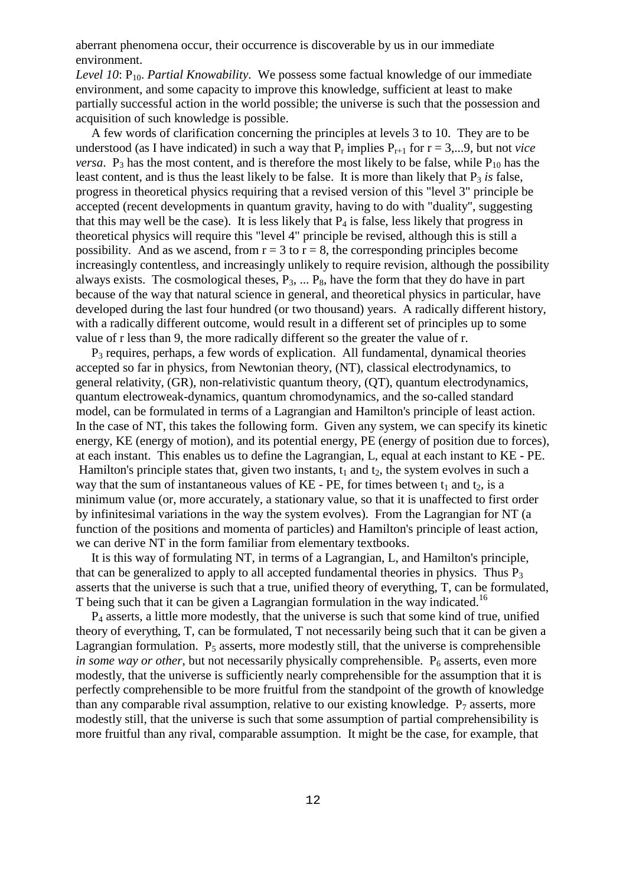aberrant phenomena occur, their occurrence is discoverable by us in our immediate environment.

*Level 10*: P<sub>10</sub>. *Partial Knowability*. We possess some factual knowledge of our immediate environment, and some capacity to improve this knowledge, sufficient at least to make partially successful action in the world possible; the universe is such that the possession and acquisition of such knowledge is possible.

A few words of clarification concerning the principles at levels 3 to 10. They are to be understood (as I have indicated) in such a way that  $P_r$  implies  $P_{r+1}$  for  $r = 3,...9$ , but not *vice versa*.  $P_3$  has the most content, and is therefore the most likely to be false, while  $P_{10}$  has the least content, and is thus the least likely to be false. It is more than likely that  $P_3$  *is* false, progress in theoretical physics requiring that a revised version of this "level 3" principle be accepted (recent developments in quantum gravity, having to do with "duality", suggesting that this may well be the case). It is less likely that  $P_4$  is false, less likely that progress in theoretical physics will require this "level 4" principle be revised, although this is still a possibility. And as we ascend, from  $r = 3$  to  $r = 8$ , the corresponding principles become increasingly contentless, and increasingly unlikely to require revision, although the possibility always exists. The cosmological theses,  $P_3$ , ...  $P_8$ , have the form that they do have in part because of the way that natural science in general, and theoretical physics in particular, have developed during the last four hundred (or two thousand) years. A radically different history, with a radically different outcome, would result in a different set of principles up to some value of r less than 9, the more radically different so the greater the value of r.

 $P_3$  requires, perhaps, a few words of explication. All fundamental, dynamical theories accepted so far in physics, from Newtonian theory, (NT), classical electrodynamics, to general relativity, (GR), non-relativistic quantum theory, (QT), quantum electrodynamics, quantum electroweak-dynamics, quantum chromodynamics, and the so-called standard model, can be formulated in terms of a Lagrangian and Hamilton's principle of least action. In the case of NT, this takes the following form. Given any system, we can specify its kinetic energy, KE (energy of motion), and its potential energy, PE (energy of position due to forces), at each instant. This enables us to define the Lagrangian, L, equal at each instant to KE - PE. Hamilton's principle states that, given two instants,  $t_1$  and  $t_2$ , the system evolves in such a way that the sum of instantaneous values of KE - PE, for times between  $t_1$  and  $t_2$ , is a minimum value (or, more accurately, a stationary value, so that it is unaffected to first order by infinitesimal variations in the way the system evolves). From the Lagrangian for NT (a function of the positions and momenta of particles) and Hamilton's principle of least action, we can derive NT in the form familiar from elementary textbooks.

It is this way of formulating NT, in terms of a Lagrangian, L, and Hamilton's principle, that can be generalized to apply to all accepted fundamental theories in physics. Thus  $P_3$ asserts that the universe is such that a true, unified theory of everything, T, can be formulated, T being such that it can be given a Lagrangian formulation in the way indicated.<sup>16</sup>

 $P_4$  asserts, a little more modestly, that the universe is such that some kind of true, unified theory of everything, T, can be formulated, T not necessarily being such that it can be given a Lagrangian formulation.  $P_5$  asserts, more modestly still, that the universe is comprehensible *in some way or other*, but not necessarily physically comprehensible.  $P_6$  asserts, even more modestly, that the universe is sufficiently nearly comprehensible for the assumption that it is perfectly comprehensible to be more fruitful from the standpoint of the growth of knowledge than any comparable rival assumption, relative to our existing knowledge.  $P_7$  asserts, more modestly still, that the universe is such that some assumption of partial comprehensibility is more fruitful than any rival, comparable assumption. It might be the case, for example, that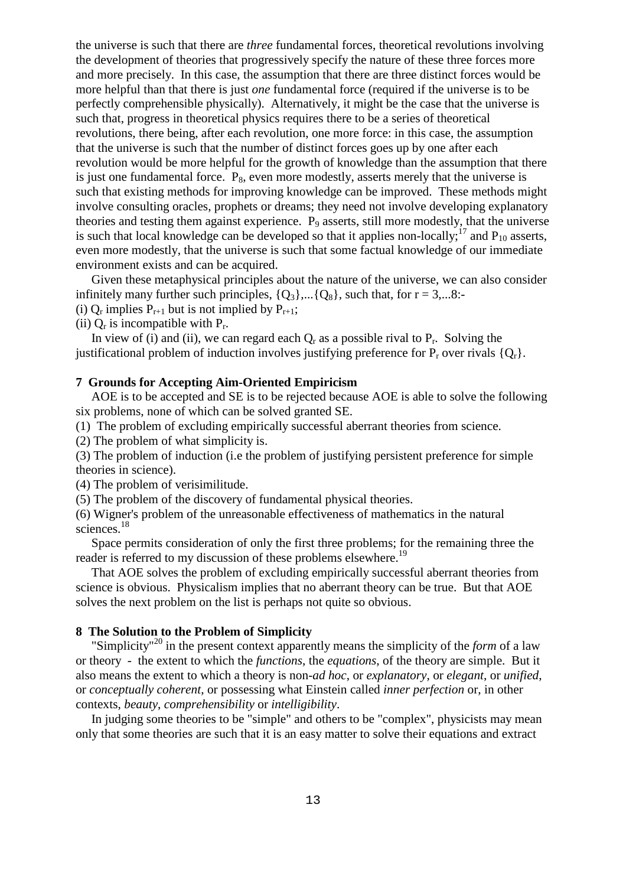the universe is such that there are *three* fundamental forces, theoretical revolutions involving the development of theories that progressively specify the nature of these three forces more and more precisely. In this case, the assumption that there are three distinct forces would be more helpful than that there is just *one* fundamental force (required if the universe is to be perfectly comprehensible physically). Alternatively, it might be the case that the universe is such that, progress in theoretical physics requires there to be a series of theoretical revolutions, there being, after each revolution, one more force: in this case, the assumption that the universe is such that the number of distinct forces goes up by one after each revolution would be more helpful for the growth of knowledge than the assumption that there is just one fundamental force.  $P_8$ , even more modestly, asserts merely that the universe is such that existing methods for improving knowledge can be improved. These methods might involve consulting oracles, prophets or dreams; they need not involve developing explanatory theories and testing them against experience. P<sub>9</sub> asserts, still more modestly, that the universe is such that local knowledge can be developed so that it applies non-locally;<sup>17</sup> and  $P_{10}$  asserts, even more modestly, that the universe is such that some factual knowledge of our immediate environment exists and can be acquired.

Given these metaphysical principles about the nature of the universe, we can also consider infinitely many further such principles,  ${Q_3}$ ,... ${Q_8}$ , such that, for  $r = 3,...8$ :-

(i)  $Q_r$  implies  $P_{r+1}$  but is not implied by  $P_{r+1}$ ;

(ii)  $Q_r$  is incompatible with  $P_r$ .

In view of (i) and (ii), we can regard each  $Q_r$  as a possible rival to  $P_r$ . Solving the justificational problem of induction involves justifying preference for  $P_r$  over rivals  $\{Q_r\}$ .

# **7 Grounds for Accepting Aim-Oriented Empiricism**

AOE is to be accepted and SE is to be rejected because AOE is able to solve the following six problems, none of which can be solved granted SE.

(1) The problem of excluding empirically successful aberrant theories from science.

(2) The problem of what simplicity is.

(3) The problem of induction (i.e the problem of justifying persistent preference for simple theories in science).

(4) The problem of verisimilitude.

(5) The problem of the discovery of fundamental physical theories.

(6) Wigner's problem of the unreasonable effectiveness of mathematics in the natural sciences.<sup>18</sup>

Space permits consideration of only the first three problems; for the remaining three the reader is referred to my discussion of these problems elsewhere.<sup>19</sup>

That AOE solves the problem of excluding empirically successful aberrant theories from science is obvious. Physicalism implies that no aberrant theory can be true. But that AOE solves the next problem on the list is perhaps not quite so obvious.

## **8 The Solution to the Problem of Simplicity**

"Simplicity"<sup>20</sup> in the present context apparently means the simplicity of the *form* of a law or theory - the extent to which the *functions*, the *equations*, of the theory are simple. But it also means the extent to which a theory is non-*ad hoc*, or *explanatory*, or *elegant*, or *unified*, or *conceptually coherent*, or possessing what Einstein called *inner perfection* or, in other contexts, *beauty*, *comprehensibility* or *intelligibility*.

In judging some theories to be "simple" and others to be "complex", physicists may mean only that some theories are such that it is an easy matter to solve their equations and extract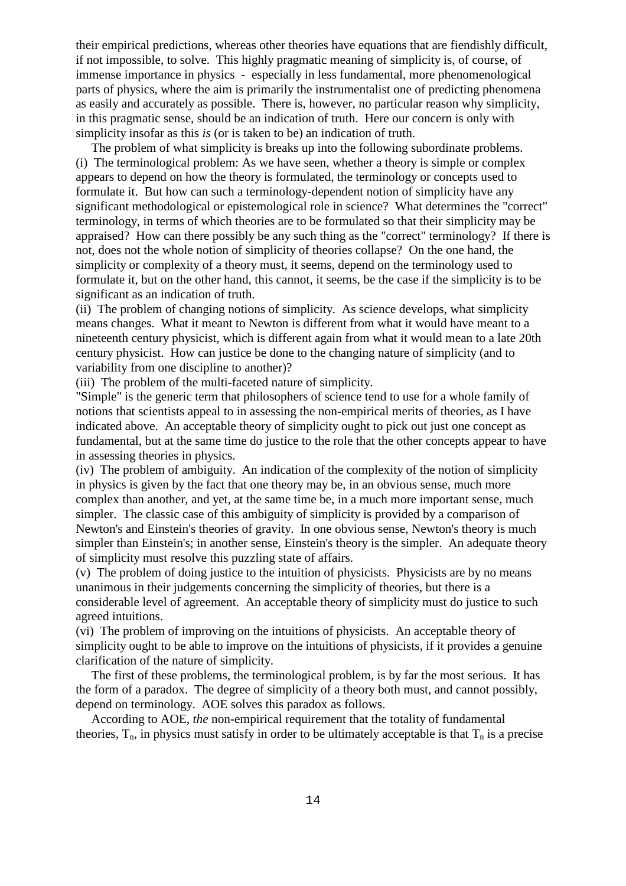their empirical predictions, whereas other theories have equations that are fiendishly difficult, if not impossible, to solve. This highly pragmatic meaning of simplicity is, of course, of immense importance in physics - especially in less fundamental, more phenomenological parts of physics, where the aim is primarily the instrumentalist one of predicting phenomena as easily and accurately as possible. There is, however, no particular reason why simplicity, in this pragmatic sense, should be an indication of truth. Here our concern is only with simplicity insofar as this *is* (or is taken to be) an indication of truth.

The problem of what simplicity is breaks up into the following subordinate problems. (i) The terminological problem: As we have seen, whether a theory is simple or complex appears to depend on how the theory is formulated, the terminology or concepts used to formulate it. But how can such a terminology-dependent notion of simplicity have any significant methodological or epistemological role in science? What determines the "correct" terminology, in terms of which theories are to be formulated so that their simplicity may be appraised? How can there possibly be any such thing as the "correct" terminology? If there is not, does not the whole notion of simplicity of theories collapse? On the one hand, the simplicity or complexity of a theory must, it seems, depend on the terminology used to formulate it, but on the other hand, this cannot, it seems, be the case if the simplicity is to be significant as an indication of truth.

(ii) The problem of changing notions of simplicity. As science develops, what simplicity means changes. What it meant to Newton is different from what it would have meant to a nineteenth century physicist, which is different again from what it would mean to a late 20th century physicist. How can justice be done to the changing nature of simplicity (and to variability from one discipline to another)?

(iii) The problem of the multi-faceted nature of simplicity.

"Simple" is the generic term that philosophers of science tend to use for a whole family of notions that scientists appeal to in assessing the non-empirical merits of theories, as I have indicated above. An acceptable theory of simplicity ought to pick out just one concept as fundamental, but at the same time do justice to the role that the other concepts appear to have in assessing theories in physics.

(iv) The problem of ambiguity. An indication of the complexity of the notion of simplicity in physics is given by the fact that one theory may be, in an obvious sense, much more complex than another, and yet, at the same time be, in a much more important sense, much simpler. The classic case of this ambiguity of simplicity is provided by a comparison of Newton's and Einstein's theories of gravity. In one obvious sense, Newton's theory is much simpler than Einstein's; in another sense, Einstein's theory is the simpler. An adequate theory of simplicity must resolve this puzzling state of affairs.

(v) The problem of doing justice to the intuition of physicists. Physicists are by no means unanimous in their judgements concerning the simplicity of theories, but there is a considerable level of agreement. An acceptable theory of simplicity must do justice to such agreed intuitions.

(vi) The problem of improving on the intuitions of physicists. An acceptable theory of simplicity ought to be able to improve on the intuitions of physicists, if it provides a genuine clarification of the nature of simplicity.

The first of these problems, the terminological problem, is by far the most serious. It has the form of a paradox. The degree of simplicity of a theory both must, and cannot possibly, depend on terminology. AOE solves this paradox as follows.

According to AOE, *the* non-empirical requirement that the totality of fundamental theories,  $T_n$ , in physics must satisfy in order to be ultimately acceptable is that  $T_n$  is a precise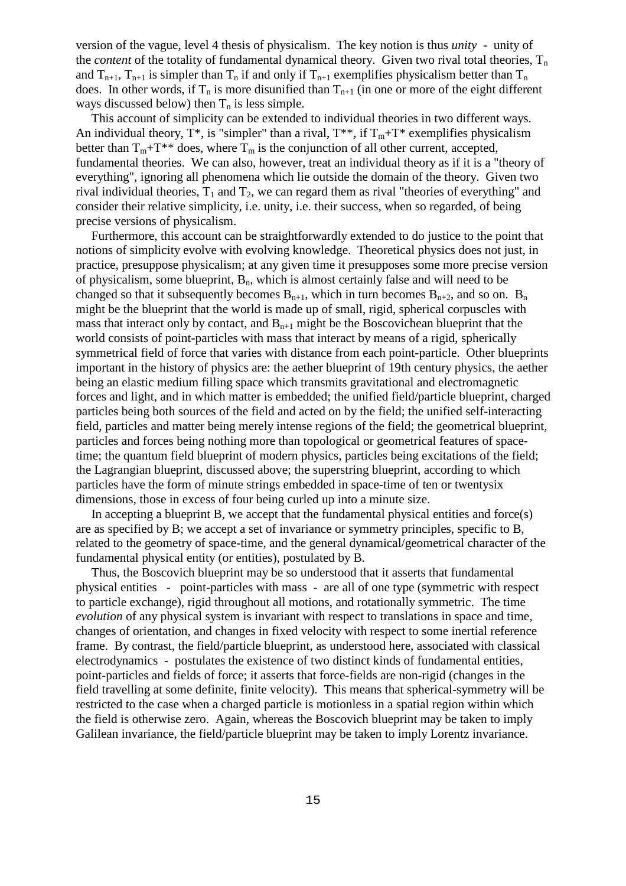version of the vague, level 4 thesis of physicalism. The key notion is thus *unity* - unity of the *content* of the totality of fundamental dynamical theory. Given two rival total theories,  $T_n$ and  $T_{n+1}$ ,  $T_{n+1}$  is simpler than  $T_n$  if and only if  $T_{n+1}$  exemplifies physicalism better than  $T_n$ does. In other words, if  $T_n$  is more disunified than  $T_{n+1}$  (in one or more of the eight different ways discussed below) then  $T_n$  is less simple.

This account of simplicity can be extended to individual theories in two different ways. An individual theory,  $T^*$ , is "simpler" than a rival,  $T^{**}$ , if  $T_m+T^*$  exemplifies physicalism better than  $T_m + T^{**}$  does, where  $T_m$  is the conjunction of all other current, accepted, fundamental theories. We can also, however, treat an individual theory as if it is a "theory of everything", ignoring all phenomena which lie outside the domain of the theory. Given two rival individual theories,  $T_1$  and  $T_2$ , we can regard them as rival "theories of everything" and consider their relative simplicity, i.e. unity, i.e. their success, when so regarded, of being precise versions of physicalism.

Furthermore, this account can be straightforwardly extended to do justice to the point that notions of simplicity evolve with evolving knowledge. Theoretical physics does not just, in practice, presuppose physicalism; at any given time it presupposes some more precise version of physicalism, some blueprint,  $B_n$ , which is almost certainly false and will need to be changed so that it subsequently becomes  $B_{n+1}$ , which in turn becomes  $B_{n+2}$ , and so on.  $B_n$ might be the blueprint that the world is made up of small, rigid, spherical corpuscles with mass that interact only by contact, and  $B_{n+1}$  might be the Boscovichean blueprint that the world consists of point-particles with mass that interact by means of a rigid, spherically symmetrical field of force that varies with distance from each point-particle. Other blueprints important in the history of physics are: the aether blueprint of 19th century physics, the aether being an elastic medium filling space which transmits gravitational and electromagnetic forces and light, and in which matter is embedded; the unified field/particle blueprint, charged particles being both sources of the field and acted on by the field; the unified self-interacting field, particles and matter being merely intense regions of the field; the geometrical blueprint, particles and forces being nothing more than topological or geometrical features of spacetime; the quantum field blueprint of modern physics, particles being excitations of the field; the Lagrangian blueprint, discussed above; the superstring blueprint, according to which particles have the form of minute strings embedded in space-time of ten or twentysix dimensions, those in excess of four being curled up into a minute size.

In accepting a blueprint B, we accept that the fundamental physical entities and force(s) are as specified by B; we accept a set of invariance or symmetry principles, specific to B, related to the geometry of space-time, and the general dynamical/geometrical character of the fundamental physical entity (or entities), postulated by B.

Thus, the Boscovich blueprint may be so understood that it asserts that fundamental physical entities - point-particles with mass - are all of one type (symmetric with respect to particle exchange), rigid throughout all motions, and rotationally symmetric. The time *evolution* of any physical system is invariant with respect to translations in space and time. changes of orientation, and changes in fixed velocity with respect to some inertial reference frame. By contrast, the field/particle blueprint, as understood here, associated with classical electrodynamics - postulates the existence of two distinct kinds of fundamental entities, point-particles and fields of force; it asserts that force-fields are non-rigid (changes in the field travelling at some definite, finite velocity). This means that spherical-symmetry will be restricted to the case when a charged particle is motionless in a spatial region within which the field is otherwise zero. Again, whereas the Boscovich blueprint may be taken to imply Galilean invariance, the field/particle blueprint may be taken to imply Lorentz invariance.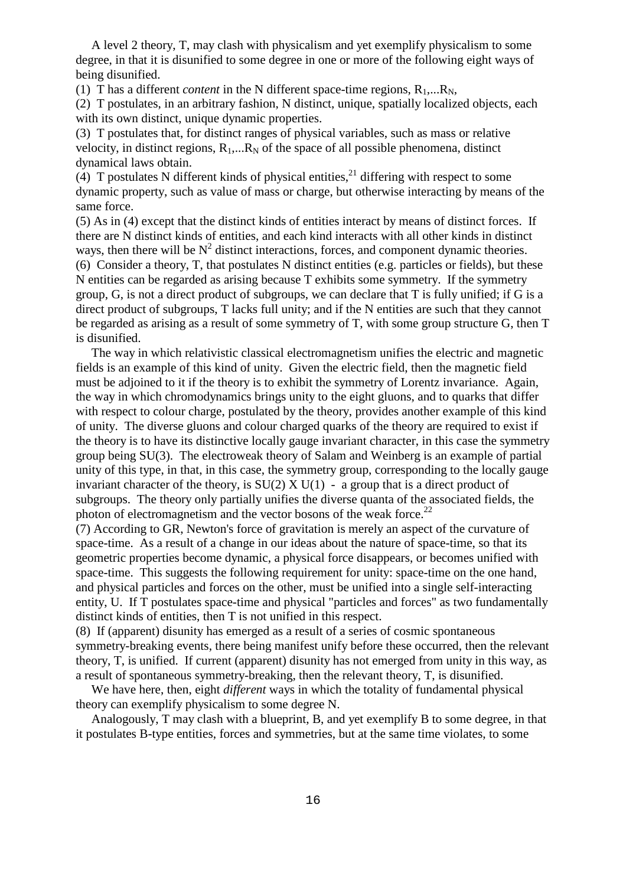A level 2 theory, T, may clash with physicalism and yet exemplify physicalism to some degree, in that it is disunified to some degree in one or more of the following eight ways of being disunified.

(1) T has a different *content* in the N different space-time regions,  $R_1,...R_N$ ,

(2) T postulates, in an arbitrary fashion, N distinct, unique, spatially localized objects, each with its own distinct, unique dynamic properties.

(3) T postulates that, for distinct ranges of physical variables, such as mass or relative velocity, in distinct regions,  $R_1,...R_N$  of the space of all possible phenomena, distinct dynamical laws obtain.

(4) T postulates N different kinds of physical entities,<sup>21</sup> differing with respect to some dynamic property, such as value of mass or charge, but otherwise interacting by means of the same force.

(5) As in (4) except that the distinct kinds of entities interact by means of distinct forces. If there are N distinct kinds of entities, and each kind interacts with all other kinds in distinct ways, then there will be  $N^2$  distinct interactions, forces, and component dynamic theories. (6) Consider a theory, T, that postulates N distinct entities (e.g. particles or fields), but these N entities can be regarded as arising because T exhibits some symmetry. If the symmetry group, G, is not a direct product of subgroups, we can declare that T is fully unified; if G is a direct product of subgroups, T lacks full unity; and if the N entities are such that they cannot be regarded as arising as a result of some symmetry of T, with some group structure G, then T is disunified.

The way in which relativistic classical electromagnetism unifies the electric and magnetic fields is an example of this kind of unity. Given the electric field, then the magnetic field must be adjoined to it if the theory is to exhibit the symmetry of Lorentz invariance. Again, the way in which chromodynamics brings unity to the eight gluons, and to quarks that differ with respect to colour charge, postulated by the theory, provides another example of this kind of unity. The diverse gluons and colour charged quarks of the theory are required to exist if the theory is to have its distinctive locally gauge invariant character, in this case the symmetry group being SU(3). The electroweak theory of Salam and Weinberg is an example of partial unity of this type, in that, in this case, the symmetry group, corresponding to the locally gauge invariant character of the theory, is  $SU(2)$  X  $U(1)$  - a group that is a direct product of subgroups. The theory only partially unifies the diverse quanta of the associated fields, the photon of electromagnetism and the vector bosons of the weak force.<sup>22</sup>

(7) According to GR, Newton's force of gravitation is merely an aspect of the curvature of space-time. As a result of a change in our ideas about the nature of space-time, so that its geometric properties become dynamic, a physical force disappears, or becomes unified with space-time. This suggests the following requirement for unity: space-time on the one hand, and physical particles and forces on the other, must be unified into a single self-interacting entity, U. If T postulates space-time and physical "particles and forces" as two fundamentally distinct kinds of entities, then T is not unified in this respect.

(8) If (apparent) disunity has emerged as a result of a series of cosmic spontaneous symmetry-breaking events, there being manifest unify before these occurred, then the relevant theory, T, is unified. If current (apparent) disunity has not emerged from unity in this way, as a result of spontaneous symmetry-breaking, then the relevant theory, T, is disunified.

We have here, then, eight *different* ways in which the totality of fundamental physical theory can exemplify physicalism to some degree N.

Analogously, T may clash with a blueprint, B, and yet exemplify B to some degree, in that it postulates B-type entities, forces and symmetries, but at the same time violates, to some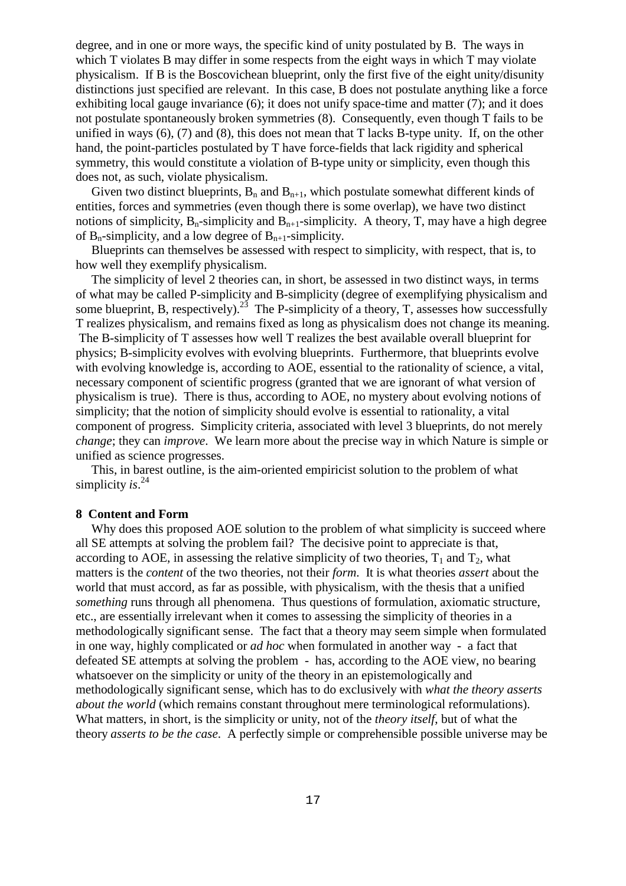degree, and in one or more ways, the specific kind of unity postulated by B. The ways in which T violates B may differ in some respects from the eight ways in which T may violate physicalism. If B is the Boscovichean blueprint, only the first five of the eight unity/disunity distinctions just specified are relevant. In this case, B does not postulate anything like a force exhibiting local gauge invariance  $(6)$ ; it does not unify space-time and matter  $(7)$ ; and it does not postulate spontaneously broken symmetries (8). Consequently, even though T fails to be unified in ways (6), (7) and (8), this does not mean that T lacks B-type unity. If, on the other hand, the point-particles postulated by T have force-fields that lack rigidity and spherical symmetry, this would constitute a violation of B-type unity or simplicity, even though this does not, as such, violate physicalism.

Given two distinct blueprints,  $B_n$  and  $B_{n+1}$ , which postulate somewhat different kinds of entities, forces and symmetries (even though there is some overlap), we have two distinct notions of simplicity,  $B_n$ -simplicity and  $B_{n+1}$ -simplicity. A theory, T, may have a high degree of  $B_n$ -simplicity, and a low degree of  $B_{n+1}$ -simplicity.

Blueprints can themselves be assessed with respect to simplicity, with respect, that is, to how well they exemplify physicalism.

The simplicity of level 2 theories can, in short, be assessed in two distinct ways, in terms of what may be called P-simplicity and B-simplicity (degree of exemplifying physicalism and some blueprint, B, respectively).<sup>23</sup> The P-simplicity of a theory, T, assesses how successfully T realizes physicalism, and remains fixed as long as physicalism does not change its meaning. The B-simplicity of T assesses how well T realizes the best available overall blueprint for physics; B-simplicity evolves with evolving blueprints. Furthermore, that blueprints evolve with evolving knowledge is, according to AOE, essential to the rationality of science, a vital, necessary component of scientific progress (granted that we are ignorant of what version of physicalism is true). There is thus, according to AOE, no mystery about evolving notions of simplicity; that the notion of simplicity should evolve is essential to rationality, a vital component of progress. Simplicity criteria, associated with level 3 blueprints, do not merely *change*; they can *improve*. We learn more about the precise way in which Nature is simple or unified as science progresses.

This, in barest outline, is the aim-oriented empiricist solution to the problem of what simplicity *is*. 24

# **8 Content and Form**

Why does this proposed AOE solution to the problem of what simplicity is succeed where all SE attempts at solving the problem fail? The decisive point to appreciate is that, according to AOE, in assessing the relative simplicity of two theories,  $T_1$  and  $T_2$ , what matters is the *content* of the two theories, not their *form*. It is what theories *assert* about the world that must accord, as far as possible, with physicalism, with the thesis that a unified *something* runs through all phenomena. Thus questions of formulation, axiomatic structure, etc., are essentially irrelevant when it comes to assessing the simplicity of theories in a methodologically significant sense. The fact that a theory may seem simple when formulated in one way, highly complicated or *ad hoc* when formulated in another way - a fact that defeated SE attempts at solving the problem - has, according to the AOE view, no bearing whatsoever on the simplicity or unity of the theory in an epistemologically and methodologically significant sense, which has to do exclusively with *what the theory asserts about the world* (which remains constant throughout mere terminological reformulations). What matters, in short, is the simplicity or unity, not of the *theory itself*, but of what the theory *asserts to be the case*. A perfectly simple or comprehensible possible universe may be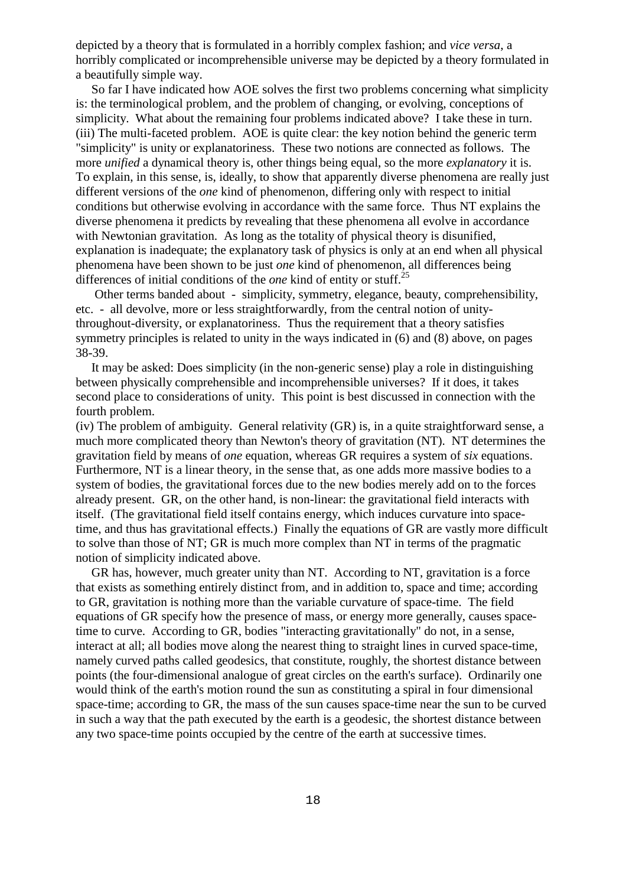depicted by a theory that is formulated in a horribly complex fashion; and *vice versa*, a horribly complicated or incomprehensible universe may be depicted by a theory formulated in a beautifully simple way.

So far I have indicated how AOE solves the first two problems concerning what simplicity is: the terminological problem, and the problem of changing, or evolving, conceptions of simplicity. What about the remaining four problems indicated above? I take these in turn. (iii) The multi-faceted problem. AOE is quite clear: the key notion behind the generic term "simplicity" is unity or explanatoriness. These two notions are connected as follows. The more *unified* a dynamical theory is, other things being equal, so the more *explanatory* it is. To explain, in this sense, is, ideally, to show that apparently diverse phenomena are really just different versions of the *one* kind of phenomenon, differing only with respect to initial conditions but otherwise evolving in accordance with the same force. Thus NT explains the diverse phenomena it predicts by revealing that these phenomena all evolve in accordance with Newtonian gravitation. As long as the totality of physical theory is disunified, explanation is inadequate; the explanatory task of physics is only at an end when all physical phenomena have been shown to be just *one* kind of phenomenon, all differences being differences of initial conditions of the *one* kind of entity or stuff.<sup>25</sup>

Other terms banded about - simplicity, symmetry, elegance, beauty, comprehensibility, etc. - all devolve, more or less straightforwardly, from the central notion of unitythroughout-diversity, or explanatoriness. Thus the requirement that a theory satisfies symmetry principles is related to unity in the ways indicated in (6) and (8) above, on pages 38-39.

It may be asked: Does simplicity (in the non-generic sense) play a role in distinguishing between physically comprehensible and incomprehensible universes? If it does, it takes second place to considerations of unity. This point is best discussed in connection with the fourth problem.

(iv) The problem of ambiguity. General relativity (GR) is, in a quite straightforward sense, a much more complicated theory than Newton's theory of gravitation (NT). NT determines the gravitation field by means of *one* equation, whereas GR requires a system of *six* equations. Furthermore, NT is a linear theory, in the sense that, as one adds more massive bodies to a system of bodies, the gravitational forces due to the new bodies merely add on to the forces already present. GR, on the other hand, is non-linear: the gravitational field interacts with itself. (The gravitational field itself contains energy, which induces curvature into spacetime, and thus has gravitational effects.) Finally the equations of GR are vastly more difficult to solve than those of NT; GR is much more complex than NT in terms of the pragmatic notion of simplicity indicated above.

GR has, however, much greater unity than NT. According to NT, gravitation is a force that exists as something entirely distinct from, and in addition to, space and time; according to GR, gravitation is nothing more than the variable curvature of space-time. The field equations of GR specify how the presence of mass, or energy more generally, causes spacetime to curve. According to GR, bodies "interacting gravitationally" do not, in a sense, interact at all; all bodies move along the nearest thing to straight lines in curved space-time, namely curved paths called geodesics, that constitute, roughly, the shortest distance between points (the four-dimensional analogue of great circles on the earth's surface). Ordinarily one would think of the earth's motion round the sun as constituting a spiral in four dimensional space-time; according to GR, the mass of the sun causes space-time near the sun to be curved in such a way that the path executed by the earth is a geodesic, the shortest distance between any two space-time points occupied by the centre of the earth at successive times.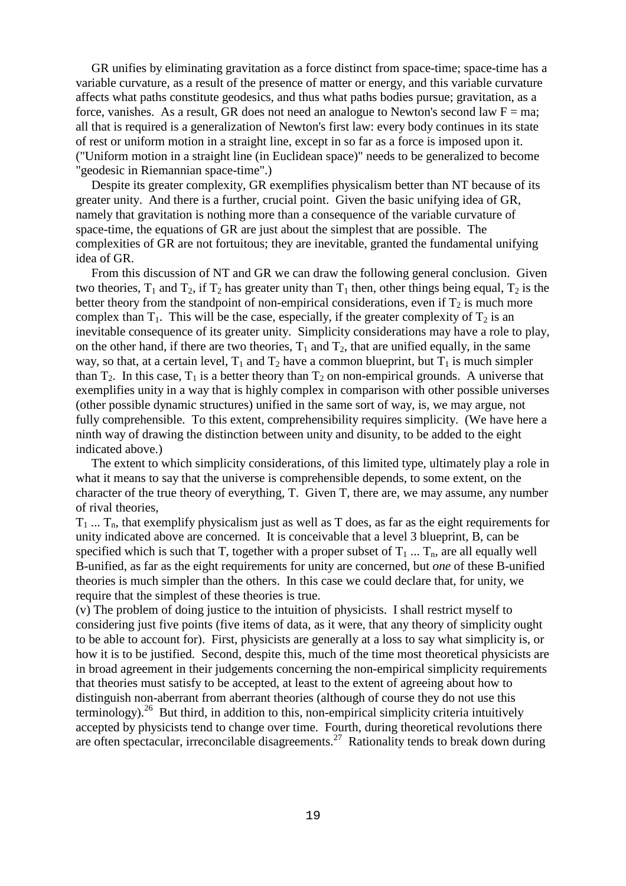GR unifies by eliminating gravitation as a force distinct from space-time; space-time has a variable curvature, as a result of the presence of matter or energy, and this variable curvature affects what paths constitute geodesics, and thus what paths bodies pursue; gravitation, as a force, vanishes. As a result, GR does not need an analogue to Newton's second law  $F = ma$ ; all that is required is a generalization of Newton's first law: every body continues in its state of rest or uniform motion in a straight line, except in so far as a force is imposed upon it. ("Uniform motion in a straight line (in Euclidean space)" needs to be generalized to become "geodesic in Riemannian space-time".)

Despite its greater complexity, GR exemplifies physicalism better than NT because of its greater unity. And there is a further, crucial point. Given the basic unifying idea of GR, namely that gravitation is nothing more than a consequence of the variable curvature of space-time, the equations of GR are just about the simplest that are possible. The complexities of GR are not fortuitous; they are inevitable, granted the fundamental unifying idea of GR.

From this discussion of NT and GR we can draw the following general conclusion. Given two theories,  $T_1$  and  $T_2$ , if  $T_2$  has greater unity than  $T_1$  then, other things being equal,  $T_2$  is the better theory from the standpoint of non-empirical considerations, even if  $T_2$  is much more complex than  $T_1$ . This will be the case, especially, if the greater complexity of  $T_2$  is an inevitable consequence of its greater unity. Simplicity considerations may have a role to play, on the other hand, if there are two theories,  $T_1$  and  $T_2$ , that are unified equally, in the same way, so that, at a certain level,  $T_1$  and  $T_2$  have a common blueprint, but  $T_1$  is much simpler than  $T_2$ . In this case,  $T_1$  is a better theory than  $T_2$  on non-empirical grounds. A universe that exemplifies unity in a way that is highly complex in comparison with other possible universes (other possible dynamic structures) unified in the same sort of way, is, we may argue, not fully comprehensible. To this extent, comprehensibility requires simplicity. (We have here a ninth way of drawing the distinction between unity and disunity, to be added to the eight indicated above.)

The extent to which simplicity considerations, of this limited type, ultimately play a role in what it means to say that the universe is comprehensible depends, to some extent, on the character of the true theory of everything, T. Given T, there are, we may assume, any number of rival theories,

 $T_1$  ...  $T_n$ , that exemplify physicalism just as well as T does, as far as the eight requirements for unity indicated above are concerned. It is conceivable that a level 3 blueprint, B, can be specified which is such that T, together with a proper subset of  $T_1$  ...  $T_n$ , are all equally well B-unified, as far as the eight requirements for unity are concerned, but *one* of these B-unified theories is much simpler than the others. In this case we could declare that, for unity, we require that the simplest of these theories is true.

(v) The problem of doing justice to the intuition of physicists. I shall restrict myself to considering just five points (five items of data, as it were, that any theory of simplicity ought to be able to account for). First, physicists are generally at a loss to say what simplicity is, or how it is to be justified. Second, despite this, much of the time most theoretical physicists are in broad agreement in their judgements concerning the non-empirical simplicity requirements that theories must satisfy to be accepted, at least to the extent of agreeing about how to distinguish non-aberrant from aberrant theories (although of course they do not use this terminology).<sup>26</sup> But third, in addition to this, non-empirical simplicity criteria intuitively accepted by physicists tend to change over time. Fourth, during theoretical revolutions there are often spectacular, irreconcilable disagreements.<sup>27</sup> Rationality tends to break down during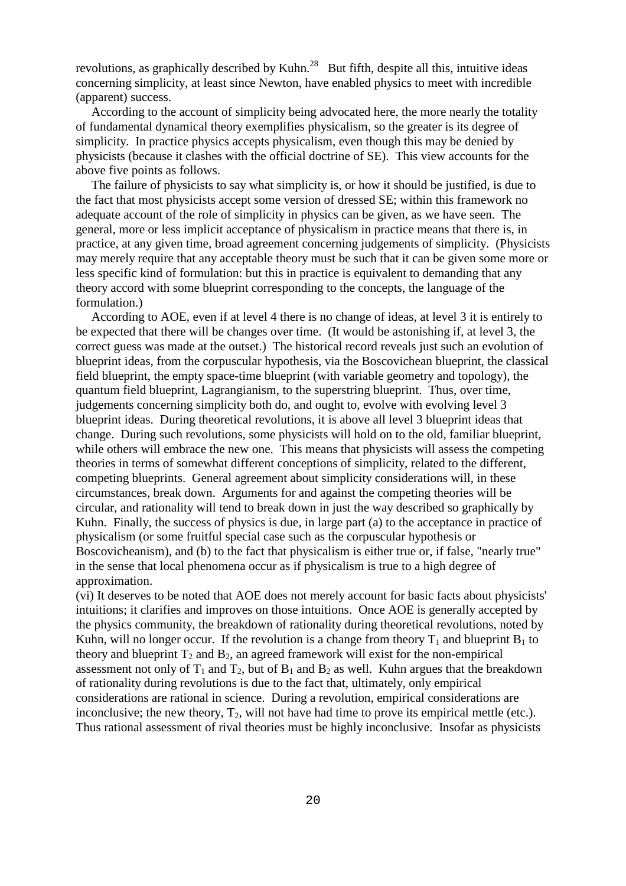revolutions, as graphically described by Kuhn.<sup>28</sup> But fifth, despite all this, intuitive ideas concerning simplicity, at least since Newton, have enabled physics to meet with incredible (apparent) success.

According to the account of simplicity being advocated here, the more nearly the totality of fundamental dynamical theory exemplifies physicalism, so the greater is its degree of simplicity. In practice physics accepts physicalism, even though this may be denied by physicists (because it clashes with the official doctrine of SE). This view accounts for the above five points as follows.

The failure of physicists to say what simplicity is, or how it should be justified, is due to the fact that most physicists accept some version of dressed SE; within this framework no adequate account of the role of simplicity in physics can be given, as we have seen. The general, more or less implicit acceptance of physicalism in practice means that there is, in practice, at any given time, broad agreement concerning judgements of simplicity. (Physicists may merely require that any acceptable theory must be such that it can be given some more or less specific kind of formulation: but this in practice is equivalent to demanding that any theory accord with some blueprint corresponding to the concepts, the language of the formulation.)

According to AOE, even if at level 4 there is no change of ideas, at level 3 it is entirely to be expected that there will be changes over time. (It would be astonishing if, at level 3, the correct guess was made at the outset.) The historical record reveals just such an evolution of blueprint ideas, from the corpuscular hypothesis, via the Boscovichean blueprint, the classical field blueprint, the empty space-time blueprint (with variable geometry and topology), the quantum field blueprint, Lagrangianism, to the superstring blueprint. Thus, over time, judgements concerning simplicity both do, and ought to, evolve with evolving level 3 blueprint ideas. During theoretical revolutions, it is above all level 3 blueprint ideas that change. During such revolutions, some physicists will hold on to the old, familiar blueprint, while others will embrace the new one. This means that physicists will assess the competing theories in terms of somewhat different conceptions of simplicity, related to the different, competing blueprints. General agreement about simplicity considerations will, in these circumstances, break down. Arguments for and against the competing theories will be circular, and rationality will tend to break down in just the way described so graphically by Kuhn. Finally, the success of physics is due, in large part (a) to the acceptance in practice of physicalism (or some fruitful special case such as the corpuscular hypothesis or Boscovicheanism), and (b) to the fact that physicalism is either true or, if false, "nearly true" in the sense that local phenomena occur as if physicalism is true to a high degree of approximation.

(vi) It deserves to be noted that AOE does not merely account for basic facts about physicists' intuitions; it clarifies and improves on those intuitions. Once AOE is generally accepted by the physics community, the breakdown of rationality during theoretical revolutions, noted by Kuhn, will no longer occur. If the revolution is a change from theory  $T_1$  and blueprint  $B_1$  to theory and blueprint  $T_2$  and  $B_2$ , an agreed framework will exist for the non-empirical assessment not only of  $T_1$  and  $T_2$ , but of  $B_1$  and  $B_2$  as well. Kuhn argues that the breakdown of rationality during revolutions is due to the fact that, ultimately, only empirical considerations are rational in science. During a revolution, empirical considerations are inconclusive; the new theory,  $T_2$ , will not have had time to prove its empirical mettle (etc.). Thus rational assessment of rival theories must be highly inconclusive. Insofar as physicists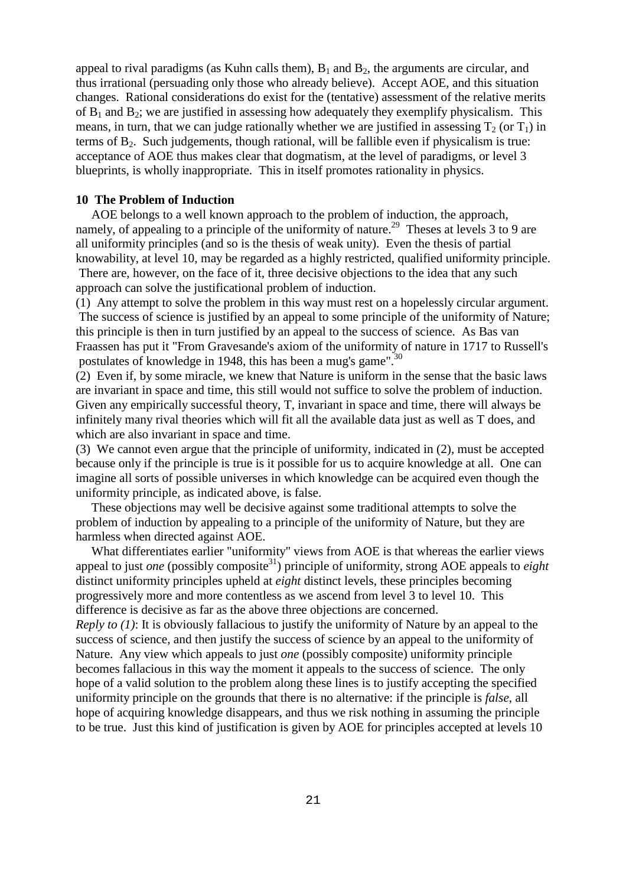appeal to rival paradigms (as Kuhn calls them),  $B_1$  and  $B_2$ , the arguments are circular, and thus irrational (persuading only those who already believe). Accept AOE, and this situation changes. Rational considerations do exist for the (tentative) assessment of the relative merits of  $B_1$  and  $B_2$ ; we are justified in assessing how adequately they exemplify physicalism. This means, in turn, that we can judge rationally whether we are justified in assessing  $T_2$  (or  $T_1$ ) in terms of  $B_2$ . Such judgements, though rational, will be fallible even if physicalism is true: acceptance of AOE thus makes clear that dogmatism, at the level of paradigms, or level 3 blueprints, is wholly inappropriate. This in itself promotes rationality in physics.

### **10 The Problem of Induction**

AOE belongs to a well known approach to the problem of induction, the approach, namely, of appealing to a principle of the uniformity of nature.<sup>29</sup> Theses at levels 3 to 9 are all uniformity principles (and so is the thesis of weak unity). Even the thesis of partial knowability, at level 10, may be regarded as a highly restricted, qualified uniformity principle. There are, however, on the face of it, three decisive objections to the idea that any such approach can solve the justificational problem of induction.

(1) Any attempt to solve the problem in this way must rest on a hopelessly circular argument. The success of science is justified by an appeal to some principle of the uniformity of Nature; this principle is then in turn justified by an appeal to the success of science. As Bas van Fraassen has put it "From Gravesande's axiom of the uniformity of nature in 1717 to Russell's postulates of knowledge in 1948, this has been a mug's game".<sup>30</sup>

(2) Even if, by some miracle, we knew that Nature is uniform in the sense that the basic laws are invariant in space and time, this still would not suffice to solve the problem of induction. Given any empirically successful theory, T, invariant in space and time, there will always be infinitely many rival theories which will fit all the available data just as well as T does, and which are also invariant in space and time.

(3) We cannot even argue that the principle of uniformity, indicated in (2), must be accepted because only if the principle is true is it possible for us to acquire knowledge at all. One can imagine all sorts of possible universes in which knowledge can be acquired even though the uniformity principle, as indicated above, is false.

These objections may well be decisive against some traditional attempts to solve the problem of induction by appealing to a principle of the uniformity of Nature, but they are harmless when directed against AOE.

What differentiates earlier "uniformity" views from AOE is that whereas the earlier views appeal to just *one* (possibly composite<sup>31</sup>) principle of uniformity, strong AOE appeals to *eight* distinct uniformity principles upheld at *eight* distinct levels, these principles becoming progressively more and more contentless as we ascend from level 3 to level 10. This difference is decisive as far as the above three objections are concerned.

*Reply to (1)*: It is obviously fallacious to justify the uniformity of Nature by an appeal to the success of science, and then justify the success of science by an appeal to the uniformity of Nature. Any view which appeals to just *one* (possibly composite) uniformity principle becomes fallacious in this way the moment it appeals to the success of science. The only hope of a valid solution to the problem along these lines is to justify accepting the specified uniformity principle on the grounds that there is no alternative: if the principle is *false*, all hope of acquiring knowledge disappears, and thus we risk nothing in assuming the principle to be true. Just this kind of justification is given by AOE for principles accepted at levels 10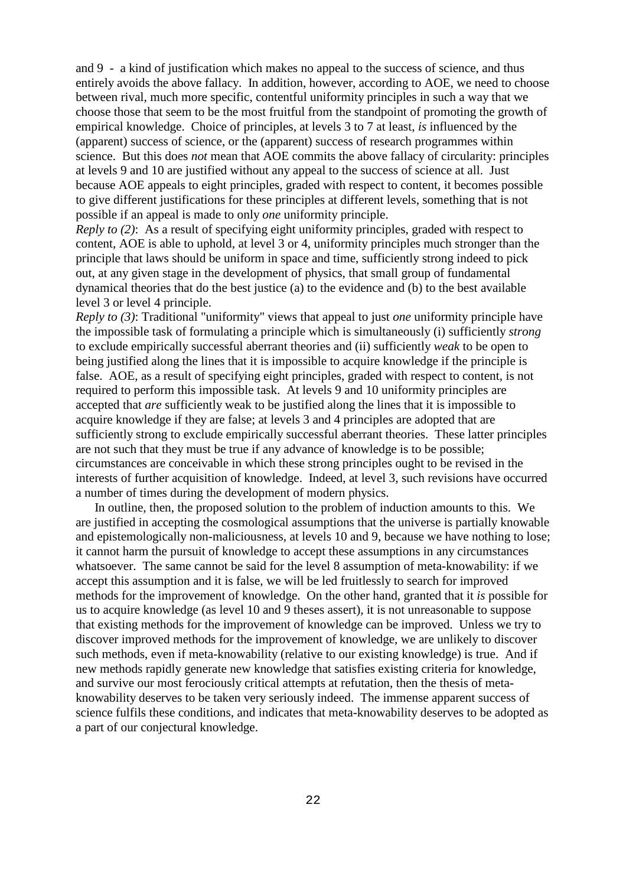and 9 - a kind of justification which makes no appeal to the success of science, and thus entirely avoids the above fallacy. In addition, however, according to AOE, we need to choose between rival, much more specific, contentful uniformity principles in such a way that we choose those that seem to be the most fruitful from the standpoint of promoting the growth of empirical knowledge. Choice of principles, at levels 3 to 7 at least, *is* influenced by the (apparent) success of science, or the (apparent) success of research programmes within science. But this does *not* mean that AOE commits the above fallacy of circularity: principles at levels 9 and 10 are justified without any appeal to the success of science at all. Just because AOE appeals to eight principles, graded with respect to content, it becomes possible to give different justifications for these principles at different levels, something that is not possible if an appeal is made to only *one* uniformity principle.

*Reply to (2)*: As a result of specifying eight uniformity principles, graded with respect to content, AOE is able to uphold, at level 3 or 4, uniformity principles much stronger than the principle that laws should be uniform in space and time, sufficiently strong indeed to pick out, at any given stage in the development of physics, that small group of fundamental dynamical theories that do the best justice (a) to the evidence and (b) to the best available level 3 or level 4 principle.

*Reply to (3)*: Traditional "uniformity" views that appeal to just *one* uniformity principle have the impossible task of formulating a principle which is simultaneously (i) sufficiently *strong* to exclude empirically successful aberrant theories and (ii) sufficiently *weak* to be open to being justified along the lines that it is impossible to acquire knowledge if the principle is false. AOE, as a result of specifying eight principles, graded with respect to content, is not required to perform this impossible task. At levels 9 and 10 uniformity principles are accepted that *are* sufficiently weak to be justified along the lines that it is impossible to acquire knowledge if they are false; at levels 3 and 4 principles are adopted that are sufficiently strong to exclude empirically successful aberrant theories. These latter principles are not such that they must be true if any advance of knowledge is to be possible; circumstances are conceivable in which these strong principles ought to be revised in the interests of further acquisition of knowledge. Indeed, at level 3, such revisions have occurred a number of times during the development of modern physics.

In outline, then, the proposed solution to the problem of induction amounts to this. We are justified in accepting the cosmological assumptions that the universe is partially knowable and epistemologically non-maliciousness, at levels 10 and 9, because we have nothing to lose; it cannot harm the pursuit of knowledge to accept these assumptions in any circumstances whatsoever. The same cannot be said for the level 8 assumption of meta-knowability: if we accept this assumption and it is false, we will be led fruitlessly to search for improved methods for the improvement of knowledge. On the other hand, granted that it *is* possible for us to acquire knowledge (as level 10 and 9 theses assert), it is not unreasonable to suppose that existing methods for the improvement of knowledge can be improved. Unless we try to discover improved methods for the improvement of knowledge, we are unlikely to discover such methods, even if meta-knowability (relative to our existing knowledge) is true. And if new methods rapidly generate new knowledge that satisfies existing criteria for knowledge, and survive our most ferociously critical attempts at refutation, then the thesis of metaknowability deserves to be taken very seriously indeed. The immense apparent success of science fulfils these conditions, and indicates that meta-knowability deserves to be adopted as a part of our conjectural knowledge.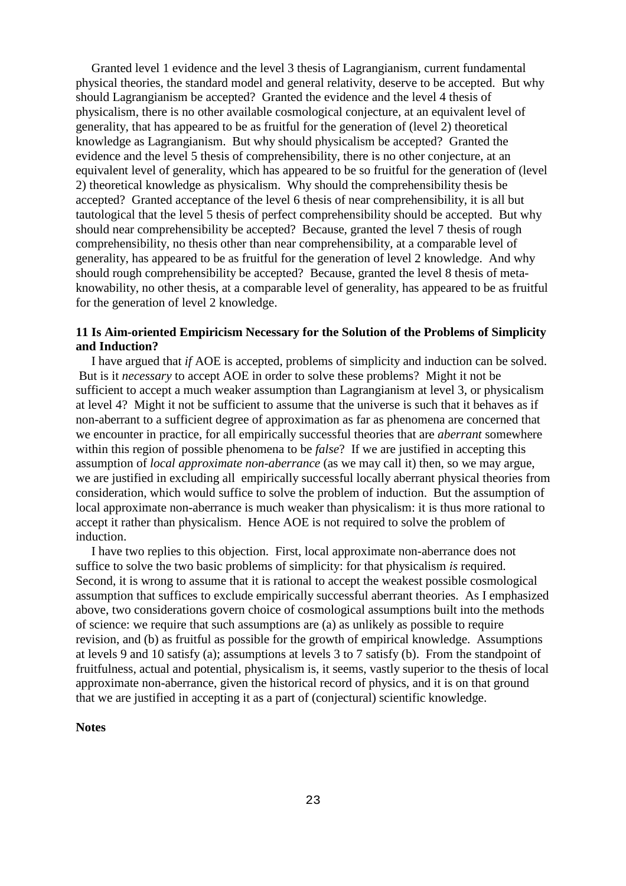Granted level 1 evidence and the level 3 thesis of Lagrangianism, current fundamental physical theories, the standard model and general relativity, deserve to be accepted. But why should Lagrangianism be accepted? Granted the evidence and the level 4 thesis of physicalism, there is no other available cosmological conjecture, at an equivalent level of generality, that has appeared to be as fruitful for the generation of (level 2) theoretical knowledge as Lagrangianism. But why should physicalism be accepted? Granted the evidence and the level 5 thesis of comprehensibility, there is no other conjecture, at an equivalent level of generality, which has appeared to be so fruitful for the generation of (level 2) theoretical knowledge as physicalism. Why should the comprehensibility thesis be accepted? Granted acceptance of the level 6 thesis of near comprehensibility, it is all but tautological that the level 5 thesis of perfect comprehensibility should be accepted. But why should near comprehensibility be accepted? Because, granted the level 7 thesis of rough comprehensibility, no thesis other than near comprehensibility, at a comparable level of generality, has appeared to be as fruitful for the generation of level 2 knowledge. And why should rough comprehensibility be accepted? Because, granted the level 8 thesis of metaknowability, no other thesis, at a comparable level of generality, has appeared to be as fruitful for the generation of level 2 knowledge.

# **11 Is Aim-oriented Empiricism Necessary for the Solution of the Problems of Simplicity and Induction?**

I have argued that *if* AOE is accepted, problems of simplicity and induction can be solved. But is it *necessary* to accept AOE in order to solve these problems? Might it not be sufficient to accept a much weaker assumption than Lagrangianism at level 3, or physicalism at level 4? Might it not be sufficient to assume that the universe is such that it behaves as if non-aberrant to a sufficient degree of approximation as far as phenomena are concerned that we encounter in practice, for all empirically successful theories that are *aberrant* somewhere within this region of possible phenomena to be *false*? If we are justified in accepting this assumption of *local approximate non-aberrance* (as we may call it) then, so we may argue, we are justified in excluding all empirically successful locally aberrant physical theories from consideration, which would suffice to solve the problem of induction. But the assumption of local approximate non-aberrance is much weaker than physicalism: it is thus more rational to accept it rather than physicalism. Hence AOE is not required to solve the problem of induction.

I have two replies to this objection. First, local approximate non-aberrance does not suffice to solve the two basic problems of simplicity: for that physicalism *is* required. Second, it is wrong to assume that it is rational to accept the weakest possible cosmological assumption that suffices to exclude empirically successful aberrant theories. As I emphasized above, two considerations govern choice of cosmological assumptions built into the methods of science: we require that such assumptions are (a) as unlikely as possible to require revision, and (b) as fruitful as possible for the growth of empirical knowledge. Assumptions at levels 9 and 10 satisfy (a); assumptions at levels 3 to 7 satisfy (b). From the standpoint of fruitfulness, actual and potential, physicalism is, it seems, vastly superior to the thesis of local approximate non-aberrance, given the historical record of physics, and it is on that ground that we are justified in accepting it as a part of (conjectural) scientific knowledge.

#### **Notes**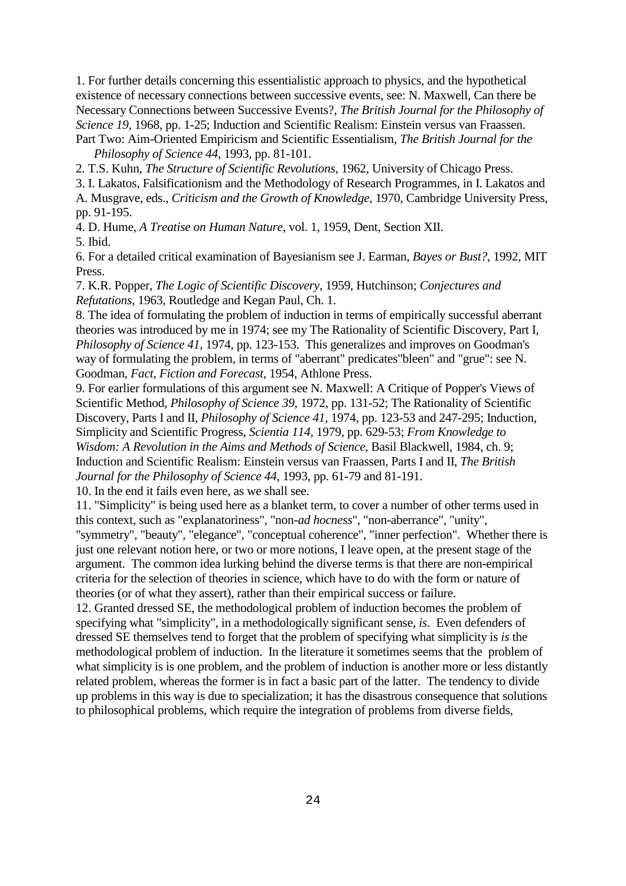1. For further details concerning this essentialistic approach to physics, and the hypothetical existence of necessary connections between successive events, see: N. Maxwell, Can there be Necessary Connections between Successive Events?, *The British Journal for the Philosophy of Science 19*, 1968, pp. 1-25; Induction and Scientific Realism: Einstein versus van Fraassen. Part Two: Aim-Oriented Empiricism and Scientific Essentialism, *The British Journal for the*

*Philosophy of Science 44*, 1993, pp. 81-101.

2. T.S. Kuhn, *The Structure of Scientific Revolutions*, 1962, University of Chicago Press.

3. I. Lakatos, Falsificationism and the Methodology of Research Programmes, in I. Lakatos and

A. Musgrave, eds., *Criticism and the Growth of Knowledge*, 1970, Cambridge University Press, pp. 91-195.

4. D. Hume, *A Treatise on Human Nature*, vol. 1, 1959, Dent, Section XII.

5. Ibid.

6. For a detailed critical examination of Bayesianism see J. Earman, *Bayes or Bust?*, 1992, MIT Press.

7. K.R. Popper, *The Logic of Scientific Discovery*, 1959, Hutchinson; *Conjectures and Refutations*, 1963, Routledge and Kegan Paul, Ch. 1.

8. The idea of formulating the problem of induction in terms of empirically successful aberrant theories was introduced by me in 1974; see my The Rationality of Scientific Discovery, Part I, *Philosophy of Science 41*, 1974, pp. 123-153. This generalizes and improves on Goodman's way of formulating the problem, in terms of "aberrant" predicates"bleen" and "grue": see N. Goodman, *Fact, Fiction and Forecast*, 1954, Athlone Press.

9. For earlier formulations of this argument see N. Maxwell: A Critique of Popper's Views of Scientific Method, *Philosophy of Science 39*, 1972, pp. 131-52; The Rationality of Scientific Discovery, Parts I and II, *Philosophy of Science 41*, 1974, pp. 123-53 and 247-295; Induction, Simplicity and Scientific Progress, *Scientia 114*, 1979, pp. 629-53; *From Knowledge to Wisdom: A Revolution in the Aims and Methods of Science*, Basil Blackwell, 1984, ch. 9; Induction and Scientific Realism: Einstein versus van Fraassen, Parts I and II, *The British Journal for the Philosophy of Science 44*, 1993, pp. 61-79 and 81-191.

10. In the end it fails even here, as we shall see.

11. "Simplicity" is being used here as a blanket term, to cover a number of other terms used in this context, such as "explanatoriness", "non-*ad hocness*", "non-aberrance", "unity",

"symmetry", "beauty", "elegance", "conceptual coherence", "inner perfection". Whether there is just one relevant notion here, or two or more notions, I leave open, at the present stage of the argument. The common idea lurking behind the diverse terms is that there are non-empirical criteria for the selection of theories in science, which have to do with the form or nature of theories (or of what they assert), rather than their empirical success or failure.

12. Granted dressed SE, the methodological problem of induction becomes the problem of specifying what "simplicity", in a methodologically significant sense, *is*. Even defenders of dressed SE themselves tend to forget that the problem of specifying what simplicity is *is* the methodological problem of induction. In the literature it sometimes seems that the problem of what simplicity is is one problem, and the problem of induction is another more or less distantly related problem, whereas the former is in fact a basic part of the latter. The tendency to divide up problems in this way is due to specialization; it has the disastrous consequence that solutions to philosophical problems, which require the integration of problems from diverse fields,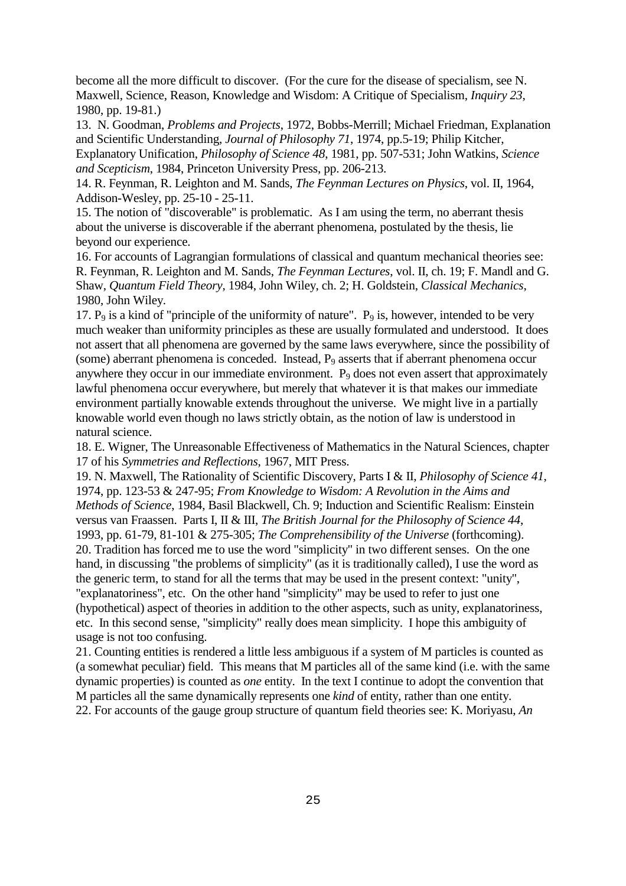become all the more difficult to discover. (For the cure for the disease of specialism, see N. Maxwell, Science, Reason, Knowledge and Wisdom: A Critique of Specialism, *Inquiry 23*, 1980, pp. 19-81.)

13. N. Goodman, *Problems and Projects*, 1972, Bobbs-Merrill; Michael Friedman, Explanation and Scientific Understanding, *Journal of Philosophy 71*, 1974, pp.5-19; Philip Kitcher, Explanatory Unification, *Philosophy of Science 48*, 1981, pp. 507-531; John Watkins, *Science and Scepticism*, 1984, Princeton University Press, pp. 206-213.

14. R. Feynman, R. Leighton and M. Sands, *The Feynman Lectures on Physics*, vol. II, 1964, Addison-Wesley, pp. 25-10 - 25-11.

15. The notion of "discoverable" is problematic. As I am using the term, no aberrant thesis about the universe is discoverable if the aberrant phenomena, postulated by the thesis, lie beyond our experience.

16. For accounts of Lagrangian formulations of classical and quantum mechanical theories see: R. Feynman, R. Leighton and M. Sands, *The Feynman Lectures*, vol. II, ch. 19; F. Mandl and G. Shaw, *Quantum Field Theory*, 1984, John Wiley, ch. 2; H. Goldstein, *Classical Mechanics*, 1980, John Wiley.

17.  $P_9$  is a kind of "principle of the uniformity of nature".  $P_9$  is, however, intended to be very much weaker than uniformity principles as these are usually formulated and understood. It does not assert that all phenomena are governed by the same laws everywhere, since the possibility of (some) aberrant phenomena is conceded. Instead,  $P<sub>9</sub>$  asserts that if aberrant phenomena occur anywhere they occur in our immediate environment.  $P_9$  does not even assert that approximately lawful phenomena occur everywhere, but merely that whatever it is that makes our immediate environment partially knowable extends throughout the universe. We might live in a partially knowable world even though no laws strictly obtain, as the notion of law is understood in natural science.

18. E. Wigner, The Unreasonable Effectiveness of Mathematics in the Natural Sciences, chapter 17 of his *Symmetries and Reflections*, 1967, MIT Press.

19. N. Maxwell, The Rationality of Scientific Discovery, Parts I & II, *Philosophy of Science 41*, 1974, pp. 123-53 & 247-95; *From Knowledge to Wisdom: A Revolution in the Aims and Methods of Science*, 1984, Basil Blackwell, Ch. 9; Induction and Scientific Realism: Einstein versus van Fraassen. Parts I, II & III, *The British Journal for the Philosophy of Science 44*, 1993, pp. 61-79, 81-101 & 275-305; *The Comprehensibility of the Universe* (forthcoming). 20. Tradition has forced me to use the word "simplicity" in two different senses. On the one hand, in discussing "the problems of simplicity" (as it is traditionally called), I use the word as the generic term, to stand for all the terms that may be used in the present context: "unity", "explanatoriness", etc. On the other hand "simplicity" may be used to refer to just one (hypothetical) aspect of theories in addition to the other aspects, such as unity, explanatoriness, etc. In this second sense, "simplicity" really does mean simplicity. I hope this ambiguity of usage is not too confusing.

21. Counting entities is rendered a little less ambiguous if a system of M particles is counted as (a somewhat peculiar) field. This means that M particles all of the same kind (i.e. with the same dynamic properties) is counted as *one* entity. In the text I continue to adopt the convention that M particles all the same dynamically represents one *kind* of entity, rather than one entity. 22. For accounts of the gauge group structure of quantum field theories see: K. Moriyasu, *An*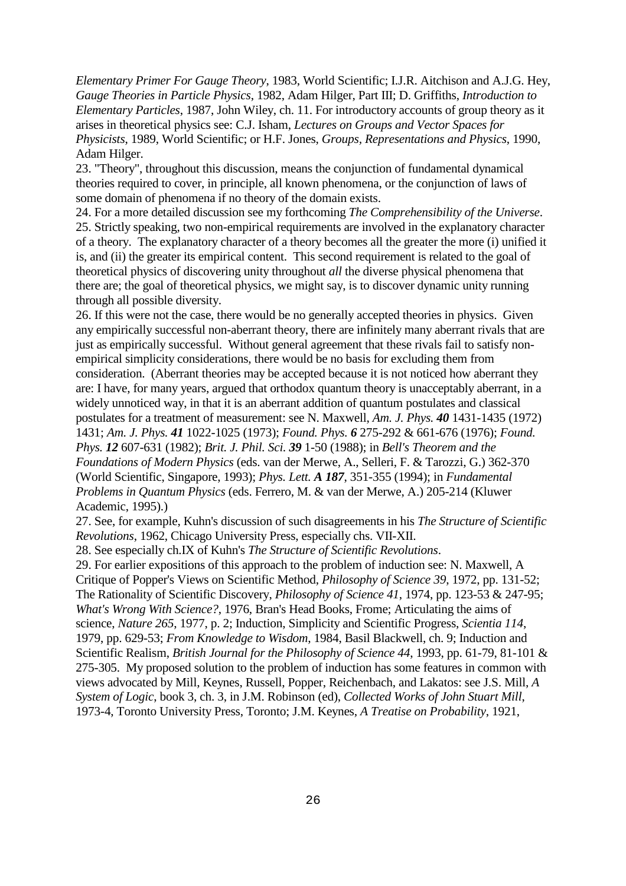*Elementary Primer For Gauge Theory*, 1983, World Scientific; I.J.R. Aitchison and A.J.G. Hey, *Gauge Theories in Particle Physics*, 1982, Adam Hilger, Part III; D. Griffiths, *Introduction to Elementary Particles*, 1987, John Wiley, ch. 11. For introductory accounts of group theory as it arises in theoretical physics see: C.J. Isham, *Lectures on Groups and Vector Spaces for Physicists*, 1989, World Scientific; or H.F. Jones, *Groups, Representations and Physics*, 1990, Adam Hilger.

23. "Theory", throughout this discussion, means the conjunction of fundamental dynamical theories required to cover, in principle, all known phenomena, or the conjunction of laws of some domain of phenomena if no theory of the domain exists.

24. For a more detailed discussion see my forthcoming *The Comprehensibility of the Universe*. 25. Strictly speaking, two non-empirical requirements are involved in the explanatory character of a theory. The explanatory character of a theory becomes all the greater the more (i) unified it is, and (ii) the greater its empirical content. This second requirement is related to the goal of theoretical physics of discovering unity throughout *all* the diverse physical phenomena that there are; the goal of theoretical physics, we might say, is to discover dynamic unity running through all possible diversity.

26. If this were not the case, there would be no generally accepted theories in physics. Given any empirically successful non-aberrant theory, there are infinitely many aberrant rivals that are just as empirically successful. Without general agreement that these rivals fail to satisfy nonempirical simplicity considerations, there would be no basis for excluding them from consideration. (Aberrant theories may be accepted because it is not noticed how aberrant they are: I have, for many years, argued that orthodox quantum theory is unacceptably aberrant, in a widely unnoticed way, in that it is an aberrant addition of quantum postulates and classical postulates for a treatment of measurement: see N. Maxwell, *Am. J. Phys. 40* 1431-1435 (1972) 1431; *Am. J. Phys. 41* 1022-1025 (1973); *Found. Phys. 6* 275-292 & 661-676 (1976); *Found. Phys. 12* 607-631 (1982); *Brit. J. Phil. Sci. 39* 1-50 (1988); in *Bell's Theorem and the Foundations of Modern Physics* (eds. van der Merwe, A., Selleri, F. & Tarozzi, G.) 362-370 (World Scientific, Singapore, 1993); *Phys. Lett. A 187*, 351-355 (1994); in *Fundamental Problems in Quantum Physics* (eds. Ferrero, M. & van der Merwe, A.) 205-214 (Kluwer Academic, 1995).)

27. See, for example, Kuhn's discussion of such disagreements in his *The Structure of Scientific Revolutions*, 1962, Chicago University Press, especially chs. VII-XII.

28. See especially ch.IX of Kuhn's *The Structure of Scientific Revolutions*.

29. For earlier expositions of this approach to the problem of induction see: N. Maxwell, A Critique of Popper's Views on Scientific Method, *Philosophy of Science 39*, 1972, pp. 131-52; The Rationality of Scientific Discovery, *Philosophy of Science 41*, 1974, pp. 123-53 & 247-95; *What's Wrong With Science?*, 1976, Bran's Head Books, Frome; Articulating the aims of science, *Nature 265*, 1977, p. 2; Induction, Simplicity and Scientific Progress, *Scientia 114*, 1979, pp. 629-53; *From Knowledge to Wisdom*, 1984, Basil Blackwell, ch. 9; Induction and Scientific Realism, *British Journal for the Philosophy of Science 44*, 1993, pp. 61-79, 81-101 & 275-305. My proposed solution to the problem of induction has some features in common with views advocated by Mill, Keynes, Russell, Popper, Reichenbach, and Lakatos: see J.S. Mill, *A System of Logic*, book 3, ch. 3, in J.M. Robinson (ed), *Collected Works of John Stuart Mill*, 1973-4, Toronto University Press, Toronto; J.M. Keynes, *A Treatise on Probability*, 1921,